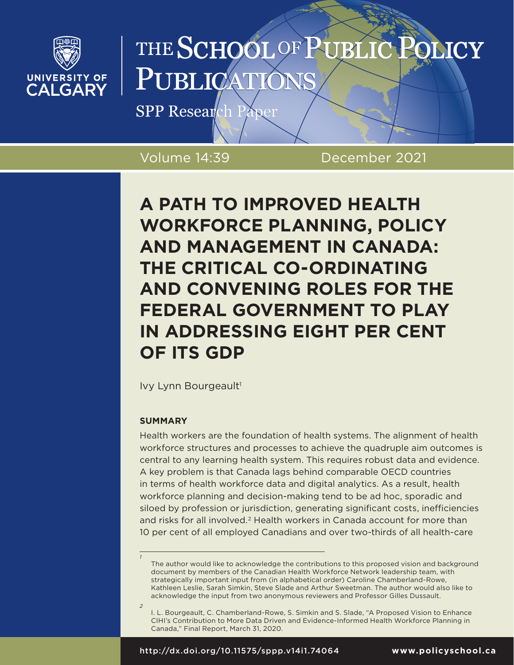

# THE SCHOOL OF PUBLI **SLICY** PUBLICA

SPP Research Paper

Volume 14:39 December 2021

# **A PATH TO IMPROVED HEALTH WORKFORCE PLANNING, POLICY AND MANAGEMENT IN CANADA: THE CRITICAL CO-ORDINATING AND CONVENING ROLES FOR THE FEDERAL GOVERNMENT TO PLAY IN ADDRESSING EIGHT PER CENT OF ITS GDP**

Ivy Lynn Bourgeault<sup>1</sup>

### **SUMMARY**

*1*

*2*

Health workers are the foundation of health systems. The alignment of health workforce structures and processes to achieve the quadruple aim outcomes is central to any learning health system. This requires robust data and evidence. A key problem is that Canada lags behind comparable OECD countries in terms of health workforce data and digital analytics. As a result, health workforce planning and decision-making tend to be ad hoc, sporadic and siloed by profession or jurisdiction, generating significant costs, inefficiencies and risks for all involved.<sup>2</sup> Health workers in Canada account for more than 10 per cent of all employed Canadians and over two-thirds of all health-care

The author would like to acknowledge the contributions to this proposed vision and background document by members of the Canadian Health Workforce Network leadership team, with strategically important input from (in alphabetical order) Caroline Chamberland-Rowe, Kathleen Leslie, Sarah Simkin, Steve Slade and Arthur Sweetman. The author would also like to acknowledge the input from two anonymous reviewers and Professor Gilles Dussault.

I. L. Bourgeault, C. Chamberland-Rowe, S. Simkin and S. Slade, "A Proposed Vision to Enhance CIHI's Contribution to More Data Driven and Evidence-Informed Health Workforce Planning in Canada," Final Report, March 31, 2020.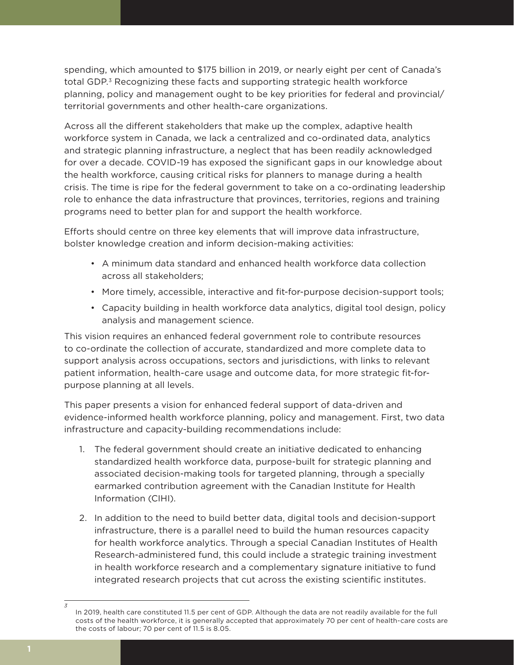spending, which amounted to \$175 billion in 2019, or nearly eight per cent of Canada's total GDP.<sup>3</sup> Recognizing these facts and supporting strategic health workforce planning, policy and management ought to be key priorities for federal and provincial/ territorial governments and other health-care organizations.

Across all the different stakeholders that make up the complex, adaptive health workforce system in Canada, we lack a centralized and co-ordinated data, analytics and strategic planning infrastructure, a neglect that has been readily acknowledged for over a decade. COVID-19 has exposed the significant gaps in our knowledge about the health workforce, causing critical risks for planners to manage during a health crisis. The time is ripe for the federal government to take on a co-ordinating leadership role to enhance the data infrastructure that provinces, territories, regions and training programs need to better plan for and support the health workforce.

Efforts should centre on three key elements that will improve data infrastructure, bolster knowledge creation and inform decision-making activities:

- A minimum data standard and enhanced health workforce data collection across all stakeholders;
- More timely, accessible, interactive and fit-for-purpose decision-support tools;
- Capacity building in health workforce data analytics, digital tool design, policy analysis and management science.

This vision requires an enhanced federal government role to contribute resources to co-ordinate the collection of accurate, standardized and more complete data to support analysis across occupations, sectors and jurisdictions, with links to relevant patient information, health-care usage and outcome data, for more strategic fit-forpurpose planning at all levels.

This paper presents a vision for enhanced federal support of data-driven and evidence-informed health workforce planning, policy and management. First, two data infrastructure and capacity-building recommendations include:

- 1. The federal government should create an initiative dedicated to enhancing standardized health workforce data, purpose-built for strategic planning and associated decision-making tools for targeted planning, through a specially earmarked contribution agreement with the Canadian Institute for Health Information (CIHI).
- 2. In addition to the need to build better data, digital tools and decision-support infrastructure, there is a parallel need to build the human resources capacity for health workforce analytics. Through a special Canadian Institutes of Health Research-administered fund, this could include a strategic training investment in health workforce research and a complementary signature initiative to fund integrated research projects that cut across the existing scientific institutes.

In 2019, health care constituted 11.5 per cent of GDP. Although the data are not readily available for the full costs of the health workforce, it is generally accepted that approximately 70 per cent of health-care costs are the costs of labour; 70 per cent of 11.5 is 8.05.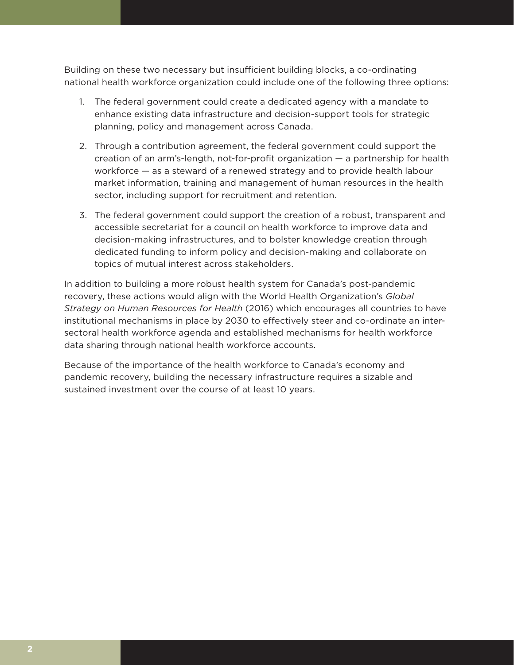Building on these two necessary but insufficient building blocks, a co-ordinating national health workforce organization could include one of the following three options:

- 1. The federal government could create a dedicated agency with a mandate to enhance existing data infrastructure and decision-support tools for strategic planning, policy and management across Canada.
- 2. Through a contribution agreement, the federal government could support the creation of an arm's-length, not-for-profit organization — a partnership for health workforce *—* as a steward of a renewed strategy and to provide health labour market information, training and management of human resources in the health sector, including support for recruitment and retention.
- 3. The federal government could support the creation of a robust, transparent and accessible secretariat for a council on health workforce to improve data and decision-making infrastructures, and to bolster knowledge creation through dedicated funding to inform policy and decision-making and collaborate on topics of mutual interest across stakeholders.

In addition to building a more robust health system for Canada's post-pandemic recovery, these actions would align with the World Health Organization's *Global Strategy on Human Resources for Health* (2016) which encourages all countries to have institutional mechanisms in place by 2030 to effectively steer and co-ordinate an intersectoral health workforce agenda and established mechanisms for health workforce data sharing through national health workforce accounts.

Because of the importance of the health workforce to Canada's economy and pandemic recovery, building the necessary infrastructure requires a sizable and sustained investment over the course of at least 10 years.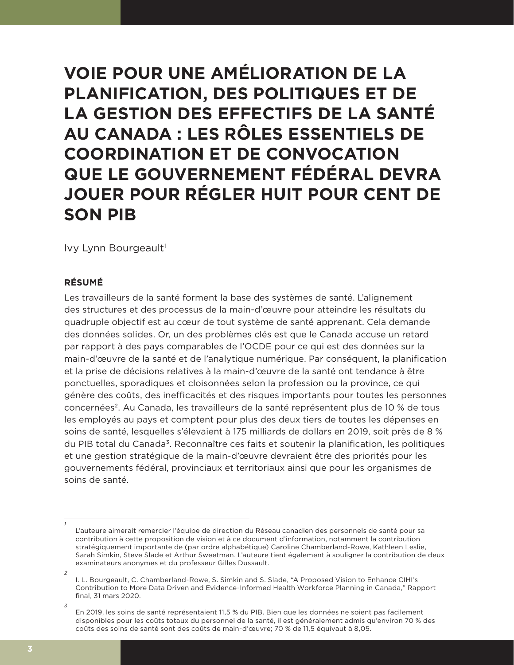**VOIE POUR UNE AMÉLIORATION DE LA PLANIFICATION, DES POLITIQUES ET DE LA GESTION DES EFFECTIFS DE LA SANTÉ AU CANADA : LES RÔLES ESSENTIELS DE COORDINATION ET DE CONVOCATION QUE LE GOUVERNEMENT FÉDÉRAL DEVRA JOUER POUR RÉGLER HUIT POUR CENT DE SON PIB**

Ivy Lynn Bourgeault<sup>1</sup>

#### **RÉSUMÉ**

Les travailleurs de la santé forment la base des systèmes de santé. L'alignement des structures et des processus de la main-d'œuvre pour atteindre les résultats du quadruple objectif est au cœur de tout système de santé apprenant. Cela demande des données solides. Or, un des problèmes clés est que le Canada accuse un retard par rapport à des pays comparables de l'OCDE pour ce qui est des données sur la main-d'œuvre de la santé et de l'analytique numérique. Par conséquent, la planification et la prise de décisions relatives à la main-d'œuvre de la santé ont tendance à être ponctuelles, sporadiques et cloisonnées selon la profession ou la province, ce qui génère des coûts, des inefficacités et des risques importants pour toutes les personnes concernées2. Au Canada, les travailleurs de la santé représentent plus de 10 % de tous les employés au pays et comptent pour plus des deux tiers de toutes les dépenses en soins de santé, lesquelles s'élevaient à 175 milliards de dollars en 2019, soit près de 8 % du PIB total du Canada3. Reconnaître ces faits et soutenir la planification, les politiques et une gestion stratégique de la main-d'œuvre devraient être des priorités pour les gouvernements fédéral, provinciaux et territoriaux ainsi que pour les organismes de soins de santé.

L'auteure aimerait remercier l'équipe de direction du Réseau canadien des personnels de santé pour sa contribution à cette proposition de vision et à ce document d'information, notamment la contribution stratégiquement importante de (par ordre alphabétique) Caroline Chamberland-Rowe, Kathleen Leslie, Sarah Simkin, Steve Slade et Arthur Sweetman. L'auteure tient également à souligner la contribution de deux examinateurs anonymes et du professeur Gilles Dussault.

*<sup>2</sup>* I. L. Bourgeault, C. Chamberland-Rowe, S. Simkin and S. Slade, "A Proposed Vision to Enhance CIHI's Contribution to More Data Driven and Evidence-Informed Health Workforce Planning in Canada," Rapport final, 31 mars 2020.

*<sup>3</sup>*

En 2019, les soins de santé représentaient 11,5 % du PIB. Bien que les données ne soient pas facilement disponibles pour les coûts totaux du personnel de la santé, il est généralement admis qu'environ 70 % des coûts des soins de santé sont des coûts de main-d'œuvre; 70 % de 11,5 équivaut à 8,05.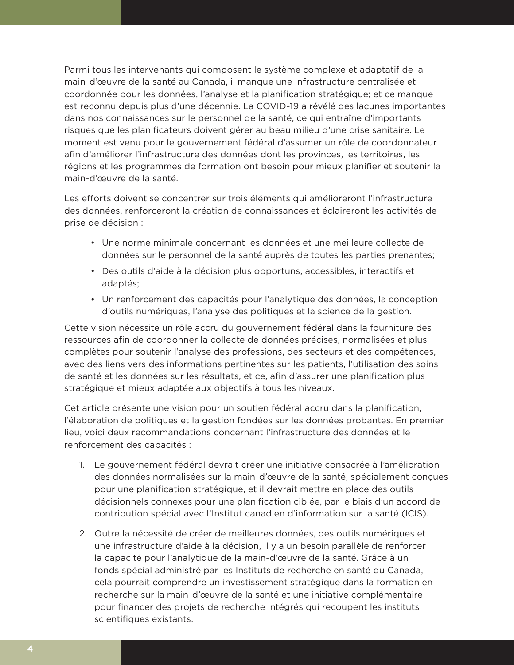Parmi tous les intervenants qui composent le système complexe et adaptatif de la main-d'œuvre de la santé au Canada, il manque une infrastructure centralisée et coordonnée pour les données, l'analyse et la planification stratégique; et ce manque est reconnu depuis plus d'une décennie. La COVID-19 a révélé des lacunes importantes dans nos connaissances sur le personnel de la santé, ce qui entraîne d'importants risques que les planificateurs doivent gérer au beau milieu d'une crise sanitaire. Le moment est venu pour le gouvernement fédéral d'assumer un rôle de coordonnateur afin d'améliorer l'infrastructure des données dont les provinces, les territoires, les régions et les programmes de formation ont besoin pour mieux planifier et soutenir la main-d'œuvre de la santé.

Les efforts doivent se concentrer sur trois éléments qui amélioreront l'infrastructure des données, renforceront la création de connaissances et éclaireront les activités de prise de décision :

- Une norme minimale concernant les données et une meilleure collecte de données sur le personnel de la santé auprès de toutes les parties prenantes;
- Des outils d'aide à la décision plus opportuns, accessibles, interactifs et adaptés;
- Un renforcement des capacités pour l'analytique des données, la conception d'outils numériques, l'analyse des politiques et la science de la gestion.

Cette vision nécessite un rôle accru du gouvernement fédéral dans la fourniture des ressources afin de coordonner la collecte de données précises, normalisées et plus complètes pour soutenir l'analyse des professions, des secteurs et des compétences, avec des liens vers des informations pertinentes sur les patients, l'utilisation des soins de santé et les données sur les résultats, et ce, afin d'assurer une planification plus stratégique et mieux adaptée aux objectifs à tous les niveaux.

Cet article présente une vision pour un soutien fédéral accru dans la planification, l'élaboration de politiques et la gestion fondées sur les données probantes. En premier lieu, voici deux recommandations concernant l'infrastructure des données et le renforcement des capacités :

- 1. Le gouvernement fédéral devrait créer une initiative consacrée à l'amélioration des données normalisées sur la main-d'œuvre de la santé, spécialement conçues pour une planification stratégique, et il devrait mettre en place des outils décisionnels connexes pour une planification ciblée, par le biais d'un accord de contribution spécial avec l'Institut canadien d'information sur la santé (ICIS).
- 2. Outre la nécessité de créer de meilleures données, des outils numériques et une infrastructure d'aide à la décision, il y a un besoin parallèle de renforcer la capacité pour l'analytique de la main-d'œuvre de la santé. Grâce à un fonds spécial administré par les Instituts de recherche en santé du Canada, cela pourrait comprendre un investissement stratégique dans la formation en recherche sur la main-d'œuvre de la santé et une initiative complémentaire pour financer des projets de recherche intégrés qui recoupent les instituts scientifiques existants.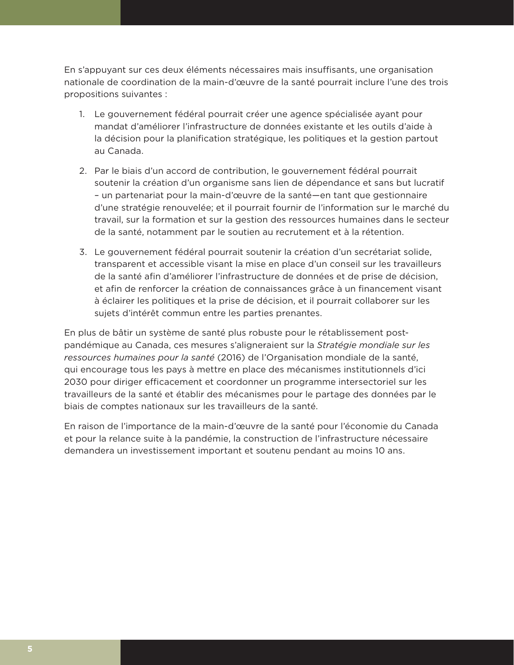En s'appuyant sur ces deux éléments nécessaires mais insuffisants, une organisation nationale de coordination de la main-d'œuvre de la santé pourrait inclure l'une des trois propositions suivantes :

- 1. Le gouvernement fédéral pourrait créer une agence spécialisée ayant pour mandat d'améliorer l'infrastructure de données existante et les outils d'aide à la décision pour la planification stratégique, les politiques et la gestion partout au Canada.
- 2. Par le biais d'un accord de contribution, le gouvernement fédéral pourrait soutenir la création d'un organisme sans lien de dépendance et sans but lucratif – un partenariat pour la main-d'œuvre de la santé—en tant que gestionnaire d'une stratégie renouvelée; et il pourrait fournir de l'information sur le marché du travail, sur la formation et sur la gestion des ressources humaines dans le secteur de la santé, notamment par le soutien au recrutement et à la rétention.
- 3. Le gouvernement fédéral pourrait soutenir la création d'un secrétariat solide, transparent et accessible visant la mise en place d'un conseil sur les travailleurs de la santé afin d'améliorer l'infrastructure de données et de prise de décision, et afin de renforcer la création de connaissances grâce à un financement visant à éclairer les politiques et la prise de décision, et il pourrait collaborer sur les sujets d'intérêt commun entre les parties prenantes.

En plus de bâtir un système de santé plus robuste pour le rétablissement postpandémique au Canada, ces mesures s'aligneraient sur la *Stratégie mondiale sur les ressources humaines pour la santé* (2016) de l'Organisation mondiale de la santé, qui encourage tous les pays à mettre en place des mécanismes institutionnels d'ici 2030 pour diriger efficacement et coordonner un programme intersectoriel sur les travailleurs de la santé et établir des mécanismes pour le partage des données par le biais de comptes nationaux sur les travailleurs de la santé.

En raison de l'importance de la main-d'œuvre de la santé pour l'économie du Canada et pour la relance suite à la pandémie, la construction de l'infrastructure nécessaire demandera un investissement important et soutenu pendant au moins 10 ans.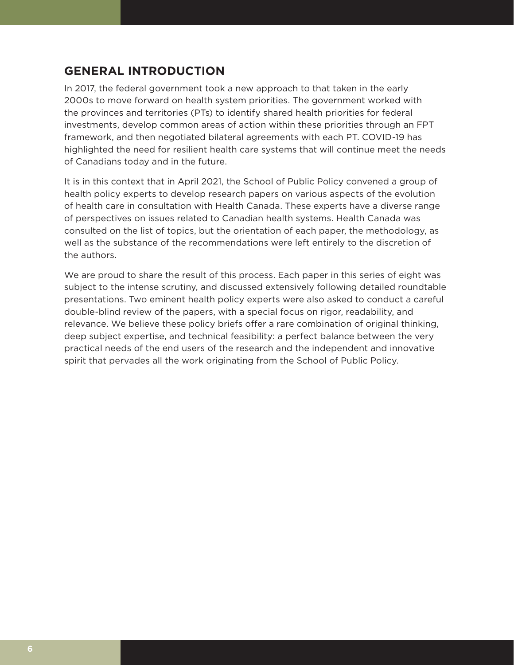## **GENERAL INTRODUCTION**

In 2017, the federal government took a new approach to that taken in the early 2000s to move forward on health system priorities. The government worked with the provinces and territories (PTs) to identify shared health priorities for federal investments, develop common areas of action within these priorities through an FPT framework, and then negotiated bilateral agreements with each PT. COVID-19 has highlighted the need for resilient health care systems that will continue meet the needs of Canadians today and in the future.

It is in this context that in April 2021, the School of Public Policy convened a group of health policy experts to develop research papers on various aspects of the evolution of health care in consultation with Health Canada. These experts have a diverse range of perspectives on issues related to Canadian health systems. Health Canada was consulted on the list of topics, but the orientation of each paper, the methodology, as well as the substance of the recommendations were left entirely to the discretion of the authors.

We are proud to share the result of this process. Each paper in this series of eight was subject to the intense scrutiny, and discussed extensively following detailed roundtable presentations. Two eminent health policy experts were also asked to conduct a careful double-blind review of the papers, with a special focus on rigor, readability, and relevance. We believe these policy briefs offer a rare combination of original thinking, deep subject expertise, and technical feasibility: a perfect balance between the very practical needs of the end users of the research and the independent and innovative spirit that pervades all the work originating from the School of Public Policy.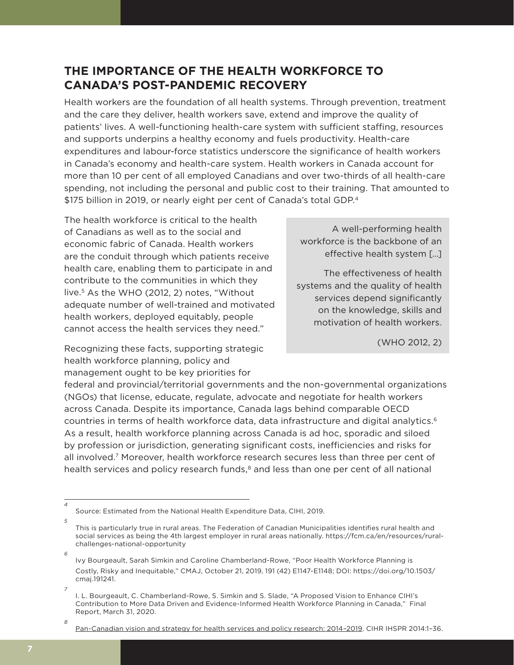# **THE IMPORTANCE OF THE HEALTH WORKFORCE TO CANADA'S POST-PANDEMIC RECOVERY**

Health workers are the foundation of all health systems. Through prevention, treatment and the care they deliver, health workers save, extend and improve the quality of patients' lives. A well-functioning health-care system with sufficient staffing, resources and supports underpins a healthy economy and fuels productivity. Health-care expenditures and labour-force statistics underscore the significance of health workers in Canada's economy and health-care system. Health workers in Canada account for more than 10 per cent of all employed Canadians and over two-thirds of all health-care spending, not including the personal and public cost to their training. That amounted to \$175 billion in 2019, or nearly eight per cent of Canada's total GDP.4

The health workforce is critical to the health of Canadians as well as to the social and economic fabric of Canada. Health workers are the conduit through which patients receive health care, enabling them to participate in and contribute to the communities in which they live.5 As the WHO (2012, 2) notes, "Without adequate number of well-trained and motivated health workers, deployed equitably, people cannot access the health services they need."

Recognizing these facts, supporting strategic health workforce planning, policy and management ought to be key priorities for

A well-performing health workforce is the backbone of an effective health system […]

The effectiveness of health systems and the quality of health services depend significantly on the knowledge, skills and motivation of health workers.

(WHO 2012, 2)

federal and provincial/territorial governments and the non-governmental organizations (NGOs) that license, educate, regulate, advocate and negotiate for health workers across Canada. Despite its importance, Canada lags behind comparable OECD countries in terms of health workforce data, data infrastructure and digital analytics.<sup>6</sup> As a result, health workforce planning across Canada is ad hoc, sporadic and siloed by profession or jurisdiction, generating significant costs, inefficiencies and risks for all involved.<sup>7</sup> Moreover, health workforce research secures less than three per cent of health services and policy research funds, $<sup>8</sup>$  and less than one per cent of all national</sup>

*4*

Source: Estimated from the National Health Expenditure Data, CIHI, 2019.

*<sup>5</sup>* This is particularly true in rural areas. The Federation of Canadian Municipalities identifies rural health and social services as being the 4th largest employer in rural areas nationally. https://fcm.ca/en/resources/ruralchallenges-national-opportunity

Ivy Bourgeault, Sarah Simkin and Caroline Chamberland-Rowe, "Poor Health Workforce Planning is Costly, Risky and Inequitable," CMAJ, October 21, 2019, 191 (42) E1147-E1148; DOI: https://doi.org/10.1503/ cmaj.191241.

*<sup>7</sup>* I. L. Bourgeault, C. Chamberland-Rowe, S. Simkin and S. Slade, "A Proposed Vision to Enhance CIHI's Contribution to More Data Driven and Evidence-Informed Health Workforce Planning in Canada," Final Report, March 31, 2020.

*<sup>8</sup>*

Pan-Canadian vision and strategy for health services and policy research: 2014–2019. CIHR IHSPR 2014:1–36.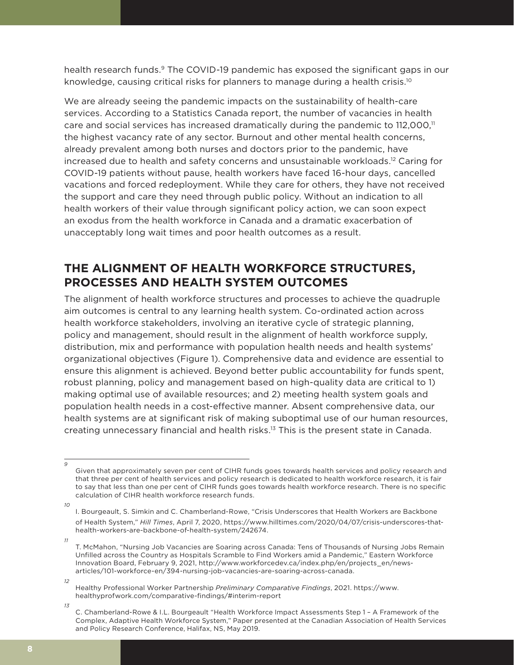health research funds.<sup>9</sup> The COVID-19 pandemic has exposed the significant gaps in our knowledge, causing critical risks for planners to manage during a health crisis.<sup>10</sup>

We are already seeing the pandemic impacts on the sustainability of health-care services. According to a Statistics Canada report, the number of vacancies in health care and social services has increased dramatically during the pandemic to  $112,000$ ,<sup> $11$ </sup> the highest vacancy rate of any sector. Burnout and other mental health concerns, already prevalent among both nurses and doctors prior to the pandemic, have increased due to health and safety concerns and unsustainable workloads.12 Caring for COVID-19 patients without pause, health workers have faced 16-hour days, cancelled vacations and forced redeployment. While they care for others, they have not received the support and care they need through public policy. Without an indication to all health workers of their value through significant policy action, we can soon expect an exodus from the health workforce in Canada and a dramatic exacerbation of unacceptably long wait times and poor health outcomes as a result.

## **THE ALIGNMENT OF HEALTH WORKFORCE STRUCTURES, PROCESSES AND HEALTH SYSTEM OUTCOMES**

The alignment of health workforce structures and processes to achieve the quadruple aim outcomes is central to any learning health system. Co-ordinated action across health workforce stakeholders, involving an iterative cycle of strategic planning, policy and management, should result in the alignment of health workforce supply, distribution, mix and performance with population health needs and health systems' organizational objectives (Figure 1). Comprehensive data and evidence are essential to ensure this alignment is achieved. Beyond better public accountability for funds spent, robust planning, policy and management based on high-quality data are critical to 1) making optimal use of available resources; and 2) meeting health system goals and population health needs in a cost-effective manner. Absent comprehensive data, our health systems are at significant risk of making suboptimal use of our human resources, creating unnecessary financial and health risks.13 This is the present state in Canada.

Given that approximately seven per cent of CIHR funds goes towards health services and policy research and that three per cent of health services and policy research is dedicated to health workforce research, it is fair to say that less than one per cent of CIHR funds goes towards health workforce research. There is no specific calculation of CIHR health workforce research funds.

*<sup>10</sup>* I. Bourgeault, S. Simkin and C. Chamberland-Rowe, "Crisis Underscores that Health Workers are Backbone of Health System," *Hill Times*, April 7, 2020, https://www.hilltimes.com/2020/04/07/crisis-underscores-thathealth-workers-are-backbone-of-health-system/242674.

*<sup>11</sup>* T. McMahon, "Nursing Job Vacancies are Soaring across Canada: Tens of Thousands of Nursing Jobs Remain Unfilled across the Country as Hospitals Scramble to Find Workers amid a Pandemic," Eastern Workforce Innovation Board, February 9, 2021, http://www.workforcedev.ca/index.php/en/projects\_en/newsarticles/101-workforce-en/394-nursing-job-vacancies-are-soaring-across-canada.

*<sup>12</sup>*

Healthy Professional Worker Partnership *Preliminary Comparative Findings*, 2021. https://www. healthyprofwork.com/comparative-findings/#interim-report

*<sup>13</sup>*

C. Chamberland-Rowe & I.L. Bourgeault "Health Workforce Impact Assessments Step 1 – A Framework of the Complex, Adaptive Health Workforce System," Paper presented at the Canadian Association of Health Services and Policy Research Conference, Halifax, NS, May 2019.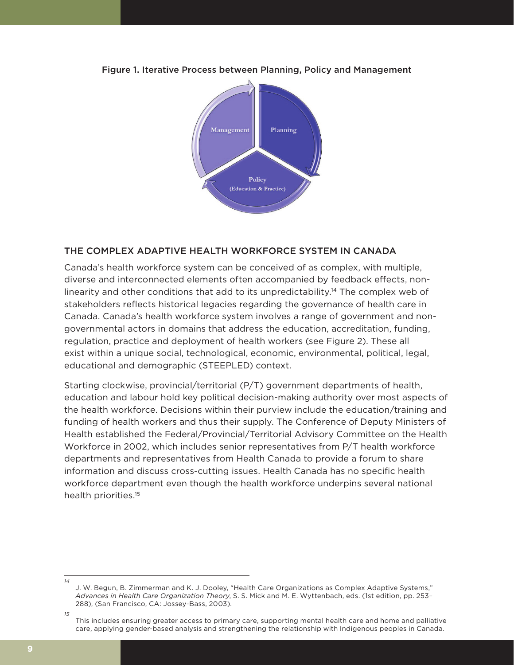

Figure 1. Iterative Process between Planning, Policy and Management

### THE COMPLEX ADAPTIVE HEALTH WORKFORCE SYSTEM IN CANADA

Canada's health workforce system can be conceived of as complex, with multiple, diverse and interconnected elements often accompanied by feedback effects, nonlinearity and other conditions that add to its unpredictability.14 The complex web of stakeholders reflects historical legacies regarding the governance of health care in Canada. Canada's health workforce system involves a range of government and nongovernmental actors in domains that address the education, accreditation, funding, regulation, practice and deployment of health workers (see Figure 2). These all exist within a unique social, technological, economic, environmental, political, legal, educational and demographic (STEEPLED) context.

Starting clockwise, provincial/territorial (P/T) government departments of health, education and labour hold key political decision-making authority over most aspects of the health workforce. Decisions within their purview include the education/training and funding of health workers and thus their supply. The Conference of Deputy Ministers of Health established the Federal/Provincial/Territorial Advisory Committee on the Health Workforce in 2002, which includes senior representatives from P/T health workforce departments and representatives from Health Canada to provide a forum to share information and discuss cross-cutting issues. Health Canada has no specific health workforce department even though the health workforce underpins several national health priorities.15

*<sup>14</sup>* J. W. Begun, B. Zimmerman and K. J. Dooley, "Health Care Organizations as Complex Adaptive Systems," *Advances in Health Care Organization Theory*, S. S. Mick and M. E. Wyttenbach, eds. (1st edition, pp. 253– 288), (San Francisco, CA: Jossey-Bass, 2003).

*<sup>15</sup>* This includes ensuring greater access to primary care, supporting mental health care and home and palliative care, applying gender-based analysis and strengthening the relationship with Indigenous peoples in Canada.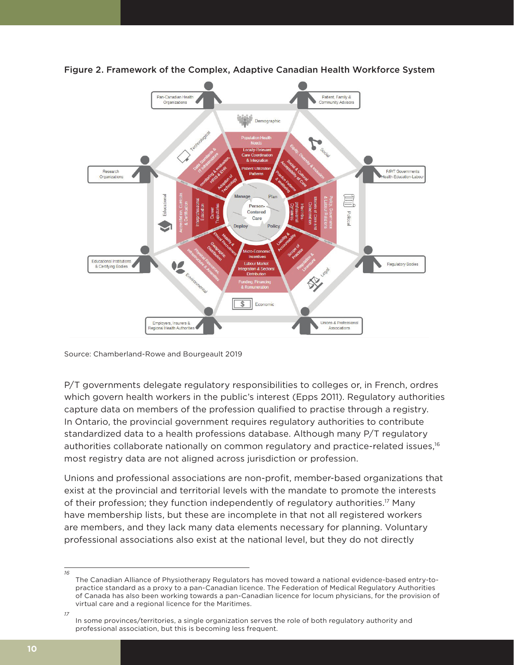

Figure 2. Framework of the Complex, Adaptive Canadian Health Workforce System

Source: Chamberland-Rowe and Bourgeault 2019

P/T governments delegate regulatory responsibilities to colleges or, in French, ordres which govern health workers in the public's interest (Epps 2011). Regulatory authorities capture data on members of the profession qualified to practise through a registry. In Ontario, the provincial government requires regulatory authorities to contribute standardized data to a health professions database. Although many P/T regulatory authorities collaborate nationally on common regulatory and practice-related issues,<sup>16</sup> most registry data are not aligned across jurisdiction or profession.

Unions and professional associations are non-profit, member-based organizations that exist at the provincial and territorial levels with the mandate to promote the interests of their profession; they function independently of regulatory authorities.<sup>17</sup> Many have membership lists, but these are incomplete in that not all registered workers are members, and they lack many data elements necessary for planning. Voluntary professional associations also exist at the national level, but they do not directly

*<sup>16</sup>* The Canadian Alliance of Physiotherapy Regulators has moved toward a national evidence-based entry-topractice standard as a proxy to a pan-Canadian licence. The Federation of Medical Regulatory Authorities of Canada has also been working towards a pan-Canadian licence for locum physicians, for the provision of virtual care and a regional licence for the Maritimes.

*<sup>17</sup>* In some provinces/territories, a single organization serves the role of both regulatory authority and professional association, but this is becoming less frequent.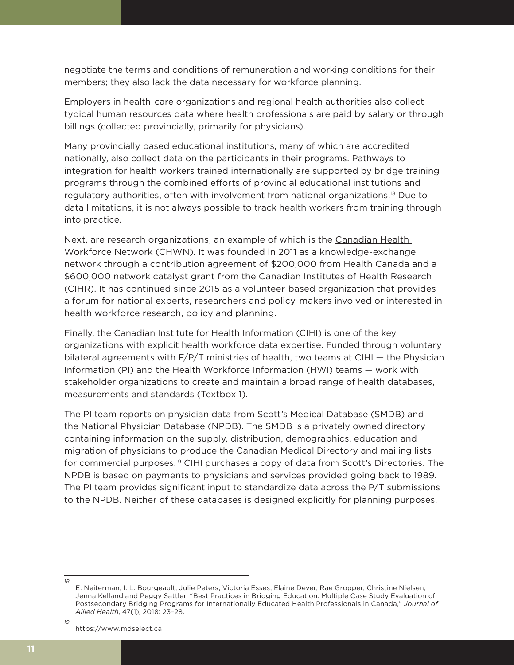negotiate the terms and conditions of remuneration and working conditions for their members; they also lack the data necessary for workforce planning.

Employers in health-care organizations and regional health authorities also collect typical human resources data where health professionals are paid by salary or through billings (collected provincially, primarily for physicians).

Many provincially based educational institutions, many of which are accredited nationally, also collect data on the participants in their programs. Pathways to integration for health workers trained internationally are supported by bridge training programs through the combined efforts of provincial educational institutions and regulatory authorities, often with involvement from national organizations.18 Due to data limitations, it is not always possible to track health workers from training through into practice.

Next, are research organizations, an example of which is the Canadian Health Workforce Network (CHWN). It was founded in 2011 as a knowledge-exchange network through a contribution agreement of \$200,000 from Health Canada and a \$600,000 network catalyst grant from the Canadian Institutes of Health Research (CIHR). It has continued since 2015 as a volunteer-based organization that provides a forum for national experts, researchers and policy-makers involved or interested in health workforce research, policy and planning.

Finally, the Canadian Institute for Health Information (CIHI) is one of the key organizations with explicit health workforce data expertise. Funded through voluntary bilateral agreements with  $F/P/T$  ministries of health, two teams at CIHI  $-$  the Physician Information (PI) and the Health Workforce Information (HWI) teams — work with stakeholder organizations to create and maintain a broad range of health databases, measurements and standards (Textbox 1).

The PI team reports on physician data from Scott's Medical Database (SMDB) and the National Physician Database (NPDB). The SMDB is a privately owned directory containing information on the supply, distribution, demographics, education and migration of physicians to produce the Canadian Medical Directory and mailing lists for commercial purposes.<sup>19</sup> CIHI purchases a copy of data from Scott's Directories. The NPDB is based on payments to physicians and services provided going back to 1989. The PI team provides significant input to standardize data across the P/T submissions to the NPDB. Neither of these databases is designed explicitly for planning purposes.

https://www.mdselect.ca

*18*

E. Neiterman, I. L. Bourgeault, Julie Peters, Victoria Esses, Elaine Dever, Rae Gropper, Christine Nielsen, Jenna Kelland and Peggy Sattler, "Best Practices in Bridging Education: Multiple Case Study Evaluation of Postsecondary Bridging Programs for Internationally Educated Health Professionals in Canada," *Journal of Allied Health*, 47(1), 2018: 23–28.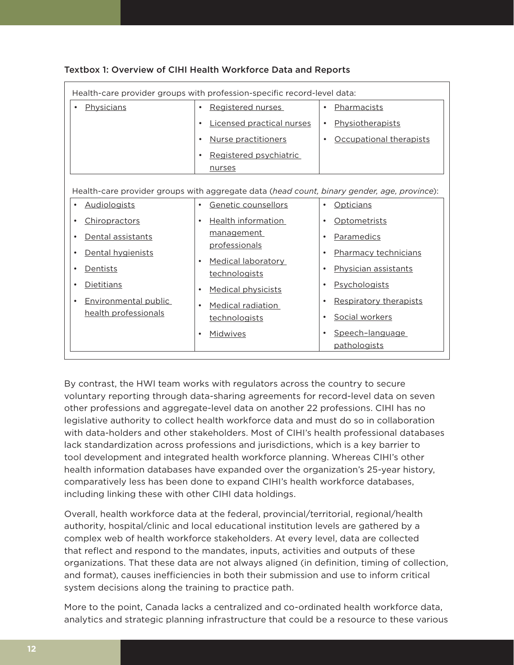| Health-care provider groups with profession-specific record-level data:                     |                                            |                                              |
|---------------------------------------------------------------------------------------------|--------------------------------------------|----------------------------------------------|
| Physicians                                                                                  | Registered nurses<br>$\bullet$             | Pharmacists<br>$\bullet$                     |
|                                                                                             | Licensed practical nurses<br>$\bullet$     | Physiotherapists<br>$\bullet$                |
|                                                                                             | Nurse practitioners<br>$\bullet$           | Occupational therapists<br>$\bullet$         |
|                                                                                             | Registered psychiatric                     |                                              |
|                                                                                             | nurses                                     |                                              |
| Health-care provider groups with aggregate data (head count, binary gender, age, province): |                                            |                                              |
| <b>Audiologists</b><br>$\bullet$                                                            | Genetic counsellors<br>$\bullet$           | <b>Opticians</b><br>$\bullet$                |
| Chiropractors<br>$\bullet$                                                                  | <b>Health information</b>                  | Optometrists<br>$\bullet$                    |
| Dental assistants<br>$\bullet$                                                              | <u>management</u>                          | Paramedics<br>$\bullet$                      |
| Dental hygienists<br>٠                                                                      | <u>professionals</u>                       | Pharmacy technicians<br>$\bullet$            |
| Dentists<br>$\bullet$                                                                       | <b>Medical laboratory</b><br>technologists | Physician assistants<br>$\bullet$            |
| Dietitians<br>$\bullet$                                                                     | <b>Medical physicists</b><br>$\bullet$     | Psychologists<br>$\bullet$                   |
| Environmental public<br>$\bullet$<br>health professionals                                   | <b>Medical radiation</b>                   | Respiratory therapists<br>$\bullet$          |
|                                                                                             | technologists                              | Social workers<br>$\bullet$                  |
|                                                                                             | Midwives                                   | Speech-language<br>$\bullet$<br>pathologists |

#### Textbox 1: Overview of CIHI Health Workforce Data and Reports

By contrast, the HWI team works with regulators across the country to secure voluntary reporting through data-sharing agreements for record-level data on seven other professions and aggregate-level data on another 22 professions. CIHI has no legislative authority to collect health workforce data and must do so in collaboration with data-holders and other stakeholders. Most of CIHI's health professional databases lack standardization across professions and jurisdictions, which is a key barrier to tool development and integrated health workforce planning. Whereas CIHI's other health information databases have expanded over the organization's 25-year history, comparatively less has been done to expand CIHI's health workforce databases, including linking these with other CIHI data holdings.

Overall, health workforce data at the federal, provincial/territorial, regional/health authority, hospital/clinic and local educational institution levels are gathered by a complex web of health workforce stakeholders. At every level, data are collected that reflect and respond to the mandates, inputs, activities and outputs of these organizations. That these data are not always aligned (in definition, timing of collection, and format), causes inefficiencies in both their submission and use to inform critical system decisions along the training to practice path.

More to the point, Canada lacks a centralized and co-ordinated health workforce data, analytics and strategic planning infrastructure that could be a resource to these various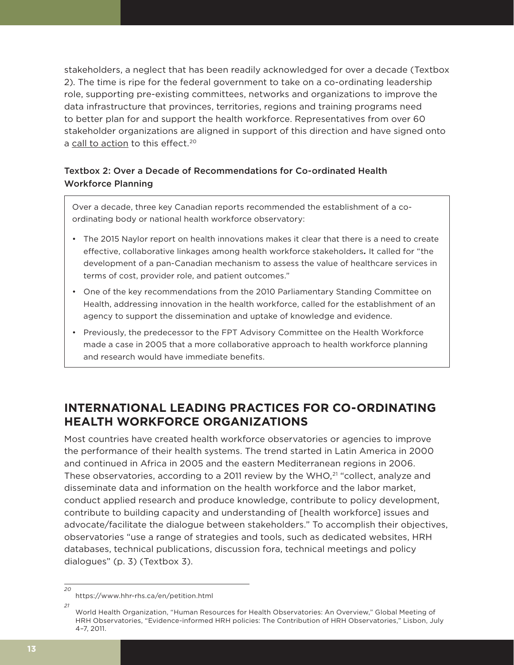stakeholders, a neglect that has been readily acknowledged for over a decade (Textbox 2). The time is ripe for the federal government to take on a co-ordinating leadership role, supporting pre-existing committees, networks and organizations to improve the data infrastructure that provinces, territories, regions and training programs need to better plan for and support the health workforce. Representatives from over 60 stakeholder organizations are aligned in support of this direction and have signed onto a call to action to this effect.<sup>20</sup>

### Textbox 2: Over a Decade of Recommendations for Co-ordinated Health Workforce Planning

Over a decade, three key Canadian reports recommended the establishment of a coordinating body or national health workforce observatory:

- The 2015 Naylor report on health innovations makes it clear that there is a need to create effective, collaborative linkages among health workforce stakeholders*.* It called for "the development of a pan-Canadian mechanism to assess the value of healthcare services in terms of cost, provider role, and patient outcomes."
- One of the key recommendations from the 2010 Parliamentary Standing Committee on Health, addressing innovation in the health workforce, called for the establishment of an agency to support the dissemination and uptake of knowledge and evidence.
- Previously, the predecessor to the FPT Advisory Committee on the Health Workforce made a case in 2005 that a more collaborative approach to health workforce planning and research would have immediate benefits.

# **INTERNATIONAL LEADING PRACTICES FOR CO-ORDINATING HEALTH WORKFORCE ORGANIZATIONS**

Most countries have created health workforce observatories or agencies to improve the performance of their health systems. The trend started in Latin America in 2000 and continued in Africa in 2005 and the eastern Mediterranean regions in 2006. These observatories, according to a 2011 review by the WHO, $^{21}$  "collect, analyze and disseminate data and information on the health workforce and the labor market, conduct applied research and produce knowledge, contribute to policy development, contribute to building capacity and understanding of [health workforce] issues and advocate/facilitate the dialogue between stakeholders." To accomplish their objectives, observatories "use a range of strategies and tools, such as dedicated websites, HRH databases, technical publications, discussion fora, technical meetings and policy dialogues" (p. 3) (Textbox 3).

*<sup>20</sup>*

https://www.hhr-rhs.ca/en/petition.html

*<sup>21</sup>* World Health Organization, "Human Resources for Health Observatories: An Overview," Global Meeting of HRH Observatories, "Evidence-informed HRH policies: The Contribution of HRH Observatories," Lisbon, July 4–7, 2011.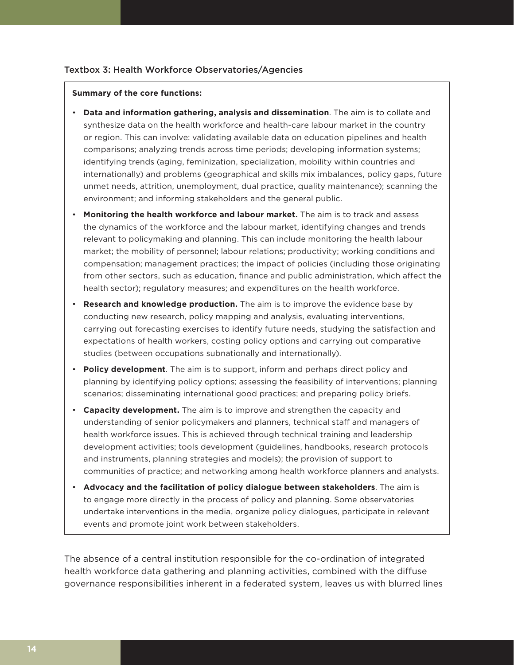#### Textbox 3: Health Workforce Observatories/Agencies

#### **Summary of the core functions:**

- **Data and information gathering, analysis and dissemination**. The aim is to collate and synthesize data on the health workforce and health-care labour market in the country or region. This can involve: validating available data on education pipelines and health comparisons; analyzing trends across time periods; developing information systems; identifying trends (aging, feminization, specialization, mobility within countries and internationally) and problems (geographical and skills mix imbalances, policy gaps, future unmet needs, attrition, unemployment, dual practice, quality maintenance); scanning the environment; and informing stakeholders and the general public.
- **Monitoring the health workforce and labour market.** The aim is to track and assess the dynamics of the workforce and the labour market, identifying changes and trends relevant to policymaking and planning. This can include monitoring the health labour market; the mobility of personnel; labour relations; productivity; working conditions and compensation; management practices; the impact of policies (including those originating from other sectors, such as education, finance and public administration, which affect the health sector); regulatory measures; and expenditures on the health workforce.
- **Research and knowledge production.** The aim is to improve the evidence base by conducting new research, policy mapping and analysis, evaluating interventions, carrying out forecasting exercises to identify future needs, studying the satisfaction and expectations of health workers, costing policy options and carrying out comparative studies (between occupations subnationally and internationally).
- **Policy development**. The aim is to support, inform and perhaps direct policy and planning by identifying policy options; assessing the feasibility of interventions; planning scenarios; disseminating international good practices; and preparing policy briefs.
- **Capacity development.** The aim is to improve and strengthen the capacity and understanding of senior policymakers and planners, technical staff and managers of health workforce issues. This is achieved through technical training and leadership development activities; tools development (guidelines, handbooks, research protocols and instruments, planning strategies and models); the provision of support to communities of practice; and networking among health workforce planners and analysts.
- **Advocacy and the facilitation of policy dialogue between stakeholders**. The aim is to engage more directly in the process of policy and planning. Some observatories undertake interventions in the media, organize policy dialogues, participate in relevant events and promote joint work between stakeholders.

The absence of a central institution responsible for the co-ordination of integrated health workforce data gathering and planning activities, combined with the diffuse governance responsibilities inherent in a federated system, leaves us with blurred lines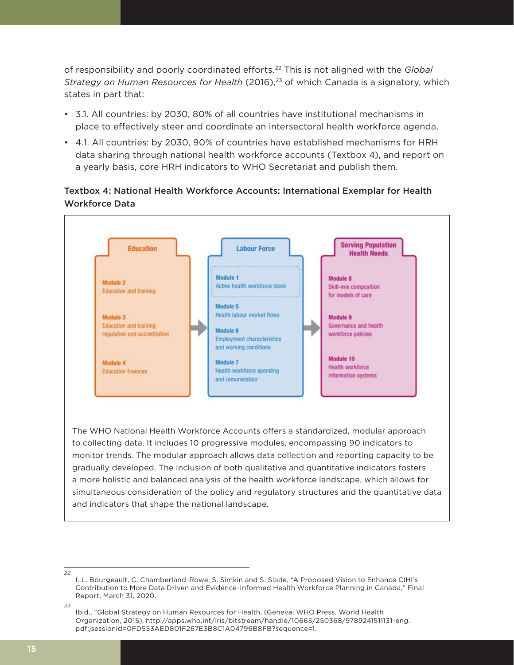of responsibility and poorly coordinated efforts.22 This is not aligned with the *Global Strategy on Human Resources for Health* (2016),<sup>23</sup> of which Canada is a signatory, which states in part that:

- 3.1. All countries: by 2030, 80% of all countries have institutional mechanisms in place to effectively steer and coordinate an intersectoral health workforce agenda.
- 4.1. All countries: by 2030, 90% of countries have established mechanisms for HRH data sharing through national health workforce accounts (Textbox 4), and report on a yearly basis, core HRH indicators to WHO Secretariat and publish them.

### Textbox 4: National Health Workforce Accounts: International Exemplar for Health Workforce Data



to collecting data. It includes 10 progressive modules, encompassing 90 indicators to monitor trends. The modular approach allows data collection and reporting capacity to be gradually developed. The inclusion of both qualitative and quantitative indicators fosters a more holistic and balanced analysis of the health workforce landscape, which allows for simultaneous consideration of the policy and regulatory structures and the quantitative data and indicators that shape the national landscape.

I. L. Bourgeault, C. Chamberland-Rowe, S. Simkin and S. Slade, "A Proposed Vision to Enhance CIHI's Contribution to More Data Driven and Evidence-Informed Health Workforce Planning in Canada," Final Report, March 31, 2020.

*<sup>23</sup>* Ibid., "Global Strategy on Human Resources for Health, (Geneva: WHO Press, World Health Organization, 2015), http://apps.who.int/iris/bitstream/handle/10665/250368/9789241511131-eng. pdf;jsessionid=0FD553AED801F267E3B8C1A04796B8FB?sequence=1.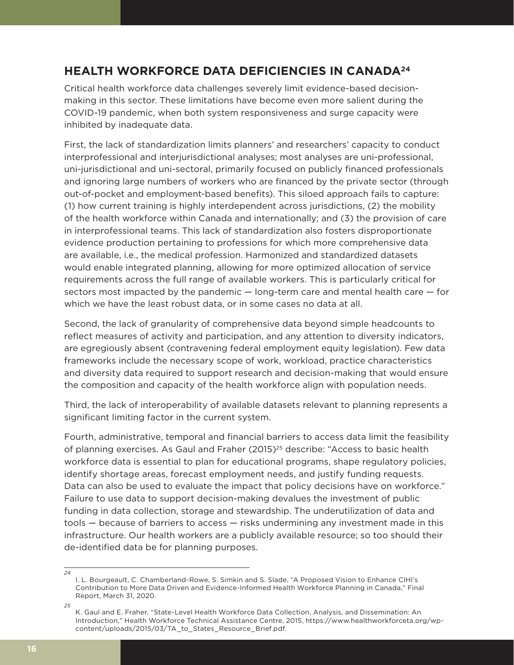# **HEALTH WORKFORCE DATA DEFICIENCIES IN CANADA24**

Critical health workforce data challenges severely limit evidence-based decisionmaking in this sector. These limitations have become even more salient during the COVID-19 pandemic, when both system responsiveness and surge capacity were inhibited by inadequate data.

First, the lack of standardization limits planners' and researchers' capacity to conduct interprofessional and interjurisdictional analyses; most analyses are uni-professional, uni-jurisdictional and uni-sectoral, primarily focused on publicly financed professionals and ignoring large numbers of workers who are financed by the private sector (through out-of-pocket and employment-based benefits). This siloed approach fails to capture: (1) how current training is highly interdependent across jurisdictions, (2) the mobility of the health workforce within Canada and internationally; and (3) the provision of care in interprofessional teams. This lack of standardization also fosters disproportionate evidence production pertaining to professions for which more comprehensive data are available, i.e., the medical profession. Harmonized and standardized datasets would enable integrated planning, allowing for more optimized allocation of service requirements across the full range of available workers. This is particularly critical for sectors most impacted by the pandemic — long-term care and mental health care — for which we have the least robust data, or in some cases no data at all.

Second, the lack of granularity of comprehensive data beyond simple headcounts to reflect measures of activity and participation, and any attention to diversity indicators, are egregiously absent (contravening federal employment equity legislation). Few data frameworks include the necessary scope of work, workload, practice characteristics and diversity data required to support research and decision-making that would ensure the composition and capacity of the health workforce align with population needs.

Third, the lack of interoperability of available datasets relevant to planning represents a significant limiting factor in the current system.

Fourth, administrative, temporal and financial barriers to access data limit the feasibility of planning exercises. As Gaul and Fraher (2015)<sup>25</sup> describe: "Access to basic health workforce data is essential to plan for educational programs, shape regulatory policies, identify shortage areas, forecast employment needs, and justify funding requests. Data can also be used to evaluate the impact that policy decisions have on workforce." Failure to use data to support decision-making devalues the investment of public funding in data collection, storage and stewardship. The underutilization of data and tools — because of barriers to access — risks undermining any investment made in this infrastructure. Our health workers are a publicly available resource; so too should their de-identified data be for planning purposes.

I. L. Bourgeault, C. Chamberland-Rowe, S. Simkin and S. Slade, "A Proposed Vision to Enhance CIHI's Contribution to More Data Driven and Evidence-Informed Health Workforce Planning in Canada," Final Report, March 31, 2020.

*<sup>25</sup>* K. Gaul and E. Fraher, "State-Level Health Workforce Data Collection, Analysis, and Dissemination: An Introduction," Health Workforce Technical Assistance Centre, 2015, https://www.healthworkforceta.org/wpcontent/uploads/2015/03/TA\_to\_States\_Resource\_Brief.pdf.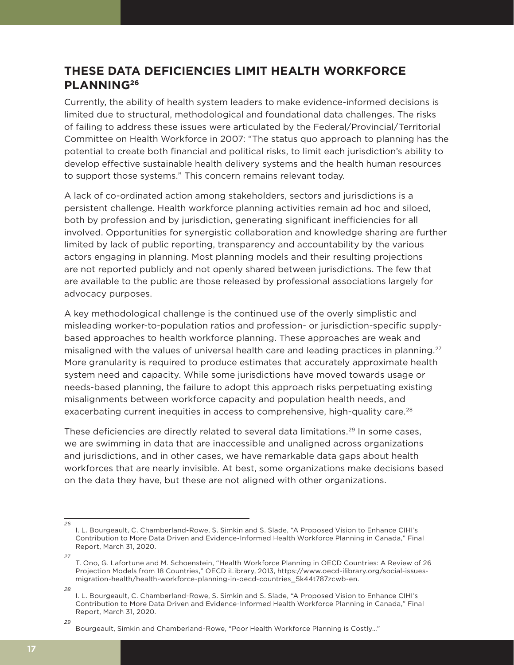# **THESE DATA DEFICIENCIES LIMIT HEALTH WORKFORCE PLANNING26**

Currently, the ability of health system leaders to make evidence-informed decisions is limited due to structural, methodological and foundational data challenges. The risks of failing to address these issues were articulated by the Federal/Provincial/Territorial Committee on Health Workforce in 2007: "The status quo approach to planning has the potential to create both financial and political risks, to limit each jurisdiction's ability to develop effective sustainable health delivery systems and the health human resources to support those systems." This concern remains relevant today*.*

A lack of co-ordinated action among stakeholders, sectors and jurisdictions is a persistent challenge. Health workforce planning activities remain ad hoc and siloed, both by profession and by jurisdiction, generating significant inefficiencies for all involved. Opportunities for synergistic collaboration and knowledge sharing are further limited by lack of public reporting, transparency and accountability by the various actors engaging in planning. Most planning models and their resulting projections are not reported publicly and not openly shared between jurisdictions. The few that are available to the public are those released by professional associations largely for advocacy purposes.

A key methodological challenge is the continued use of the overly simplistic and misleading worker-to-population ratios and profession- or jurisdiction-specific supplybased approaches to health workforce planning. These approaches are weak and misaligned with the values of universal health care and leading practices in planning.<sup>27</sup> More granularity is required to produce estimates that accurately approximate health system need and capacity. While some jurisdictions have moved towards usage or needs-based planning, the failure to adopt this approach risks perpetuating existing misalignments between workforce capacity and population health needs, and exacerbating current inequities in access to comprehensive, high-quality care.<sup>28</sup>

These deficiencies are directly related to several data limitations.<sup>29</sup> In some cases, we are swimming in data that are inaccessible and unaligned across organizations and jurisdictions, and in other cases, we have remarkable data gaps about health workforces that are nearly invisible. At best, some organizations make decisions based on the data they have, but these are not aligned with other organizations.

*<sup>26</sup>* I. L. Bourgeault, C. Chamberland-Rowe, S. Simkin and S. Slade, "A Proposed Vision to Enhance CIHI's Contribution to More Data Driven and Evidence-Informed Health Workforce Planning in Canada," Final Report, March 31, 2020.

*<sup>27</sup>* T. Ono, G. Lafortune and M. Schoenstein, "Health Workforce Planning in OECD Countries: A Review of 26 Projection Models from 18 Countries," OECD iLibrary, 2013, https://www.oecd-ilibrary.org/social-issuesmigration-health/health-workforce-planning-in-oecd-countries\_5k44t787zcwb-en.

*<sup>28</sup>* I. L. Bourgeault, C. Chamberland-Rowe, S. Simkin and S. Slade, "A Proposed Vision to Enhance CIHI's Contribution to More Data Driven and Evidence-Informed Health Workforce Planning in Canada," Final Report, March 31, 2020.

*<sup>29</sup>*

Bourgeault, Simkin and Chamberland-Rowe, "Poor Health Workforce Planning is Costly…"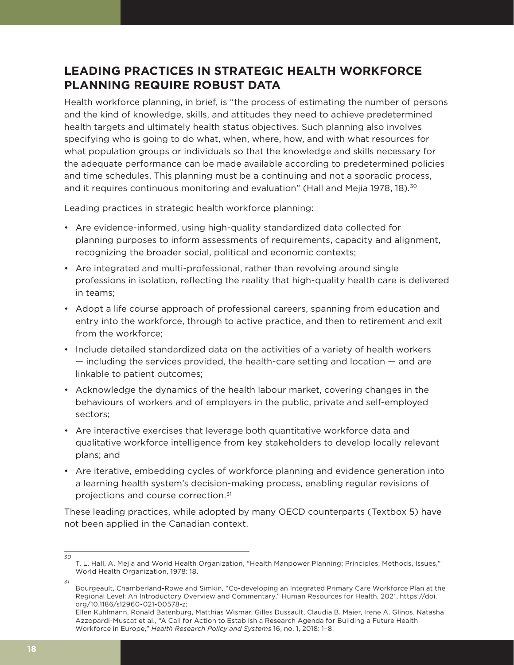# **LEADING PRACTICES IN STRATEGIC HEALTH WORKFORCE PLANNING REQUIRE ROBUST DATA**

Health workforce planning, in brief, is "the process of estimating the number of persons and the kind of knowledge, skills, and attitudes they need to achieve predetermined health targets and ultimately health status objectives. Such planning also involves specifying who is going to do what, when, where, how, and with what resources for what population groups or individuals so that the knowledge and skills necessary for the adequate performance can be made available according to predetermined policies and time schedules. This planning must be a continuing and not a sporadic process, and it requires continuous monitoring and evaluation" (Hall and Mejia 1978, 18).<sup>30</sup>

Leading practices in strategic health workforce planning:

- Are evidence-informed, using high-quality standardized data collected for planning purposes to inform assessments of requirements, capacity and alignment, recognizing the broader social, political and economic contexts;
- Are integrated and multi-professional, rather than revolving around single professions in isolation, reflecting the reality that high-quality health care is delivered in teams;
- Adopt a life course approach of professional careers, spanning from education and entry into the workforce, through to active practice, and then to retirement and exit from the workforce;
- Include detailed standardized data on the activities of a variety of health workers — including the services provided, the health-care setting and location — and are linkable to patient outcomes;
- Acknowledge the dynamics of the health labour market, covering changes in the behaviours of workers and of employers in the public, private and self-employed sectors;
- Are interactive exercises that leverage both quantitative workforce data and qualitative workforce intelligence from key stakeholders to develop locally relevant plans; and
- Are iterative, embedding cycles of workforce planning and evidence generation into a learning health system's decision-making process, enabling regular revisions of projections and course correction.31

These leading practices, while adopted by many OECD counterparts (Textbox 5) have not been applied in the Canadian context.

T. L. Hall, A. Mejia and World Health Organization, "Health Manpower Planning: Principles, Methods, Issues," World Health Organization, 1978: 18.

*<sup>31</sup>*

Bourgeault, Chamberland-Rowe and Simkin, "Co-developing an Integrated Primary Care Workforce Plan at the Regional Level: An Introductory Overview and Commentary," Human Resources for Health, 2021, https://doi. org/10.1186/s12960-021-00578-z;

Ellen Kuhlmann, Ronald Batenburg, Matthias Wismar, Gilles Dussault, Claudia B. Maier, Irene A. Glinos, Natasha Azzopardi-Muscat et al., "A Call for Action to Establish a Research Agenda for Building a Future Health Workforce in Europe," *Health Research Policy and Systems* 16, no. 1, 2018: 1–8.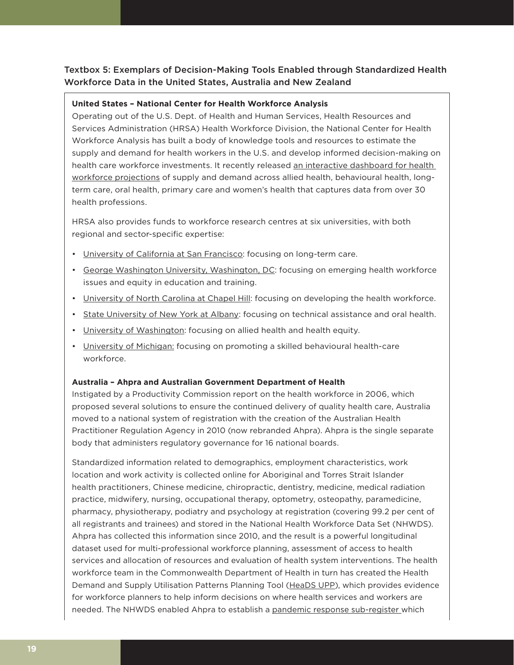### Textbox 5: Exemplars of Decision-Making Tools Enabled through Standardized Health Workforce Data in the United States, Australia and New Zealand

#### **United States – National Center for Health Workforce Analysis**

Operating out of the U.S. Dept. of Health and Human Services, Health Resources and Services Administration (HRSA) Health Workforce Division, the National Center for Health Workforce Analysis has built a body of knowledge tools and resources to estimate the supply and demand for health workers in the U.S. and develop informed decision-making on health care workforce investments. It recently released an interactive dashboard for health workforce projections of supply and demand across allied health, behavioural health, longterm care, oral health, primary care and women's health that captures data from over 30 health professions.

HRSA also provides funds to workforce research centres at six universities, with both regional and sector-specific expertise:

- University of California at San Francisco: focusing on long-term care.
- George Washington University, Washington, DC: focusing on emerging health workforce issues and equity in education and training.
- University of North Carolina at Chapel Hill: focusing on developing the health workforce.
- State University of New York at Albany: focusing on technical assistance and oral health.
- University of Washington: focusing on allied health and health equity.
- University of Michigan: focusing on promoting a skilled behavioural health-care workforce.

#### **Australia – Ahpra and Australian Government Department of Health**

Instigated by a Productivity Commission report on the health workforce in 2006, which proposed several solutions to ensure the continued delivery of quality health care, Australia moved to a national system of registration with the creation of the Australian Health Practitioner Regulation Agency in 2010 (now rebranded Ahpra). Ahpra is the single separate body that administers regulatory governance for 16 national boards.

Standardized information related to demographics, employment characteristics, work location and work activity is collected online for Aboriginal and Torres Strait Islander health practitioners, Chinese medicine, chiropractic, dentistry, medicine, medical radiation practice, midwifery, nursing, occupational therapy, optometry, osteopathy, paramedicine, pharmacy, physiotherapy, podiatry and psychology at registration (covering 99.2 per cent of all registrants and trainees) and stored in the National Health Workforce Data Set (NHWDS). Ahpra has collected this information since 2010, and the result is a powerful longitudinal dataset used for multi-professional workforce planning, assessment of access to health services and allocation of resources and evaluation of health system interventions. The health workforce team in the Commonwealth Department of Health in turn has created the Health Demand and Supply Utilisation Patterns Planning Tool (HeaDS UPP), which provides evidence for workforce planners to help inform decisions on where health services and workers are needed. The NHWDS enabled Ahpra to establish a pandemic response sub-register which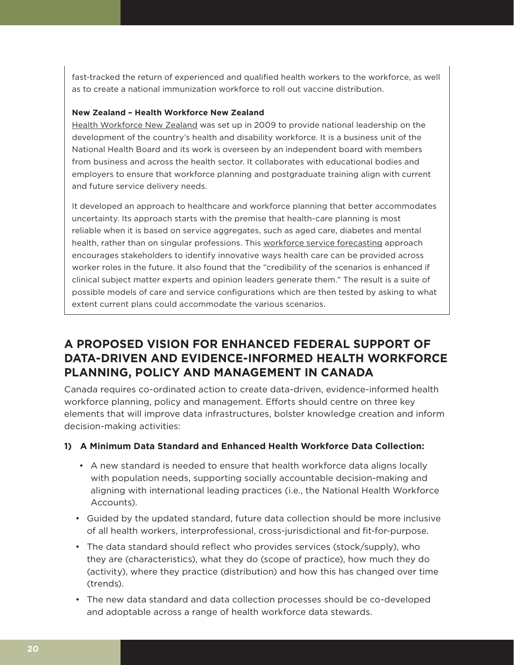fast-tracked the return of experienced and qualified health workers to the workforce, as well as to create a national immunization workforce to roll out vaccine distribution.

#### **New Zealand – Health Workforce New Zealand**

Health Workforce New Zealand was set up in 2009 to provide national leadership on the development of the country's health and disability workforce. It is a business unit of the National Health Board and its work is overseen by an independent board with members from business and across the health sector. It collaborates with educational bodies and employers to ensure that workforce planning and postgraduate training align with current and future service delivery needs.

It developed an approach to healthcare and workforce planning that better accommodates uncertainty. Its approach starts with the premise that health-care planning is most reliable when it is based on service aggregates, such as aged care, diabetes and mental health, rather than on singular professions. This workforce service forecasting approach encourages stakeholders to identify innovative ways health care can be provided across worker roles in the future. It also found that the "credibility of the scenarios is enhanced if clinical subject matter experts and opinion leaders generate them." The result is a suite of possible models of care and service configurations which are then tested by asking to what extent current plans could accommodate the various scenarios.

# **A PROPOSED VISION FOR ENHANCED FEDERAL SUPPORT OF DATA-DRIVEN AND EVIDENCE-INFORMED HEALTH WORKFORCE PLANNING, POLICY AND MANAGEMENT IN CANADA**

Canada requires co-ordinated action to create data-driven, evidence-informed health workforce planning, policy and management. Efforts should centre on three key elements that will improve data infrastructures, bolster knowledge creation and inform decision-making activities:

#### **1) A Minimum Data Standard and Enhanced Health Workforce Data Collection:**

- A new standard is needed to ensure that health workforce data aligns locally with population needs, supporting socially accountable decision-making and aligning with international leading practices (i.e., the National Health Workforce Accounts).
- Guided by the updated standard, future data collection should be more inclusive of all health workers, interprofessional, cross-jurisdictional and fit-for-purpose.
- The data standard should reflect who provides services (stock/supply), who they are (characteristics), what they do (scope of practice), how much they do (activity), where they practice (distribution) and how this has changed over time (trends).
- The new data standard and data collection processes should be co-developed and adoptable across a range of health workforce data stewards.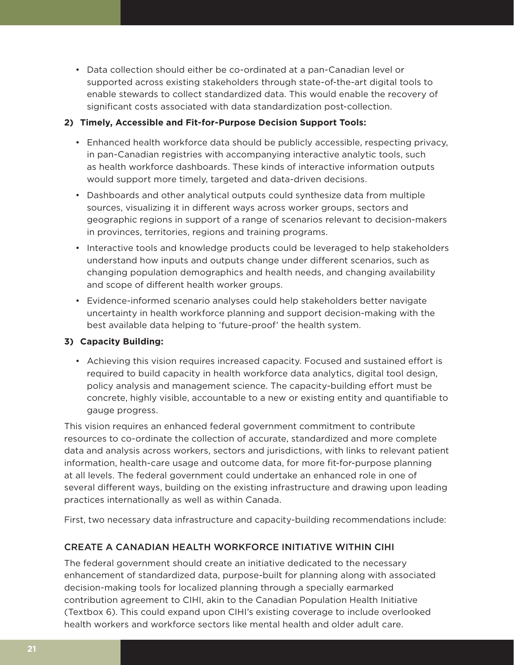• Data collection should either be co-ordinated at a pan-Canadian level or supported across existing stakeholders through state-of-the-art digital tools to enable stewards to collect standardized data. This would enable the recovery of significant costs associated with data standardization post-collection.

#### **2) Timely, Accessible and Fit-for-Purpose Decision Support Tools:**

- Enhanced health workforce data should be publicly accessible, respecting privacy, in pan-Canadian registries with accompanying interactive analytic tools, such as health workforce dashboards. These kinds of interactive information outputs would support more timely, targeted and data-driven decisions.
- Dashboards and other analytical outputs could synthesize data from multiple sources, visualizing it in different ways across worker groups, sectors and geographic regions in support of a range of scenarios relevant to decision-makers in provinces, territories, regions and training programs.
- Interactive tools and knowledge products could be leveraged to help stakeholders understand how inputs and outputs change under different scenarios, such as changing population demographics and health needs, and changing availability and scope of different health worker groups.
- Evidence-informed scenario analyses could help stakeholders better navigate uncertainty in health workforce planning and support decision-making with the best available data helping to 'future-proof' the health system.

#### **3) Capacity Building:**

• Achieving this vision requires increased capacity. Focused and sustained effort is required to build capacity in health workforce data analytics, digital tool design, policy analysis and management science. The capacity-building effort must be concrete, highly visible, accountable to a new or existing entity and quantifiable to gauge progress.

This vision requires an enhanced federal government commitment to contribute resources to co-ordinate the collection of accurate, standardized and more complete data and analysis across workers, sectors and jurisdictions, with links to relevant patient information, health-care usage and outcome data, for more fit-for-purpose planning at all levels. The federal government could undertake an enhanced role in one of several different ways, building on the existing infrastructure and drawing upon leading practices internationally as well as within Canada.

First, two necessary data infrastructure and capacity-building recommendations include:

### CREATE A CANADIAN HEALTH WORKFORCE INITIATIVE WITHIN CIHI

The federal government should create an initiative dedicated to the necessary enhancement of standardized data, purpose-built for planning along with associated decision-making tools for localized planning through a specially earmarked contribution agreement to CIHI, akin to the Canadian Population Health Initiative (Textbox 6). This could expand upon CIHI's existing coverage to include overlooked health workers and workforce sectors like mental health and older adult care.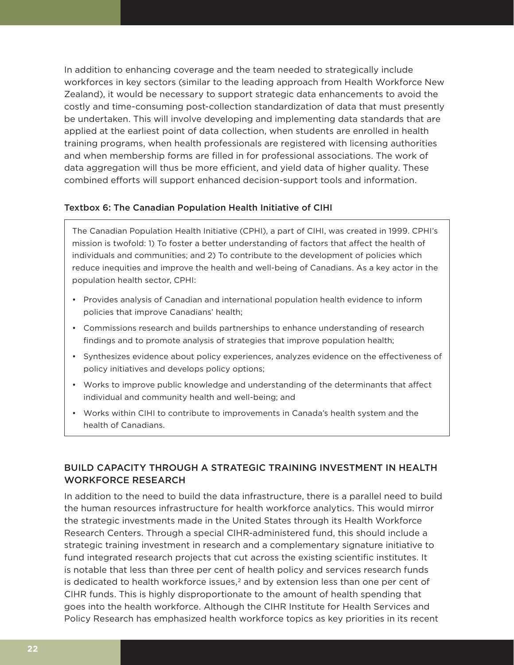In addition to enhancing coverage and the team needed to strategically include workforces in key sectors (similar to the leading approach from Health Workforce New Zealand), it would be necessary to support strategic data enhancements to avoid the costly and time-consuming post-collection standardization of data that must presently be undertaken. This will involve developing and implementing data standards that are applied at the earliest point of data collection, when students are enrolled in health training programs, when health professionals are registered with licensing authorities and when membership forms are filled in for professional associations. The work of data aggregation will thus be more efficient, and yield data of higher quality. These combined efforts will support enhanced decision-support tools and information.

#### Textbox 6: The Canadian Population Health Initiative of CIHI

The Canadian Population Health Initiative (CPHI), a part of CIHI, was created in 1999. CPHI's mission is twofold: 1) To foster a better understanding of factors that affect the health of individuals and communities; and 2) To contribute to the development of policies which reduce inequities and improve the health and well-being of Canadians. As a key actor in the population health sector, CPHI:

- Provides analysis of Canadian and international population health evidence to inform policies that improve Canadians' health;
- Commissions research and builds partnerships to enhance understanding of research findings and to promote analysis of strategies that improve population health;
- Synthesizes evidence about policy experiences, analyzes evidence on the effectiveness of policy initiatives and develops policy options;
- Works to improve public knowledge and understanding of the determinants that affect individual and community health and well-being; and
- Works within CIHI to contribute to improvements in Canada's health system and the health of Canadians.

#### BUILD CAPACITY THROUGH A STRATEGIC TRAINING INVESTMENT IN HEALTH WORKFORCE RESEARCH

In addition to the need to build the data infrastructure, there is a parallel need to build the human resources infrastructure for health workforce analytics. This would mirror the strategic investments made in the United States through its Health Workforce Research Centers. Through a special CIHR-administered fund, this should include a strategic training investment in research and a complementary signature initiative to fund integrated research projects that cut across the existing scientific institutes. It is notable that less than three per cent of health policy and services research funds is dedicated to health workforce issues, $<sup>2</sup>$  and by extension less than one per cent of</sup> CIHR funds. This is highly disproportionate to the amount of health spending that goes into the health workforce. Although the CIHR Institute for Health Services and Policy Research has emphasized health workforce topics as key priorities in its recent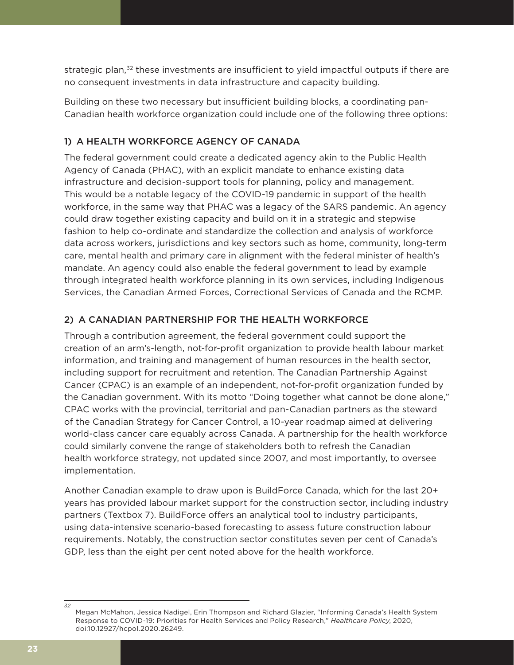strategic plan,<sup>32</sup> these investments are insufficient to yield impactful outputs if there are no consequent investments in data infrastructure and capacity building.

Building on these two necessary but insufficient building blocks, a coordinating pan-Canadian health workforce organization could include one of the following three options:

### 1) A HEALTH WORKFORCE AGENCY OF CANADA

The federal government could create a dedicated agency akin to the Public Health Agency of Canada (PHAC), with an explicit mandate to enhance existing data infrastructure and decision-support tools for planning, policy and management. This would be a notable legacy of the COVID-19 pandemic in support of the health workforce, in the same way that PHAC was a legacy of the SARS pandemic. An agency could draw together existing capacity and build on it in a strategic and stepwise fashion to help co-ordinate and standardize the collection and analysis of workforce data across workers, jurisdictions and key sectors such as home, community, long-term care, mental health and primary care in alignment with the federal minister of health's mandate. An agency could also enable the federal government to lead by example through integrated health workforce planning in its own services, including Indigenous Services, the Canadian Armed Forces, Correctional Services of Canada and the RCMP.

### 2) A CANADIAN PARTNERSHIP FOR THE HEALTH WORKFORCE

Through a contribution agreement, the federal government could support the creation of an arm's-length, not-for-profit organization to provide health labour market information, and training and management of human resources in the health sector, including support for recruitment and retention. The Canadian Partnership Against Cancer (CPAC) is an example of an independent, not-for-profit organization funded by the Canadian government. With its motto "Doing together what cannot be done alone," CPAC works with the provincial, territorial and pan-Canadian partners as the steward of the Canadian Strategy for Cancer Control, a 10-year roadmap aimed at delivering world-class cancer care equably across Canada. A partnership for the health workforce could similarly convene the range of stakeholders both to refresh the Canadian health workforce strategy, not updated since 2007, and most importantly, to oversee implementation.

Another Canadian example to draw upon is BuildForce Canada, which for the last 20+ years has provided labour market support for the construction sector, including industry partners (Textbox 7). BuildForce offers an analytical tool to industry participants, using data-intensive scenario-based forecasting to assess future construction labour requirements. Notably, the construction sector constitutes seven per cent of Canada's GDP, less than the eight per cent noted above for the health workforce.

*<sup>32</sup>* Megan McMahon, Jessica Nadigel, Erin Thompson and Richard Glazier, "Informing Canada's Health System Response to COVID-19: Priorities for Health Services and Policy Research," *Healthcare Policy*, 2020, doi:10.12927/hcpol.2020.26249.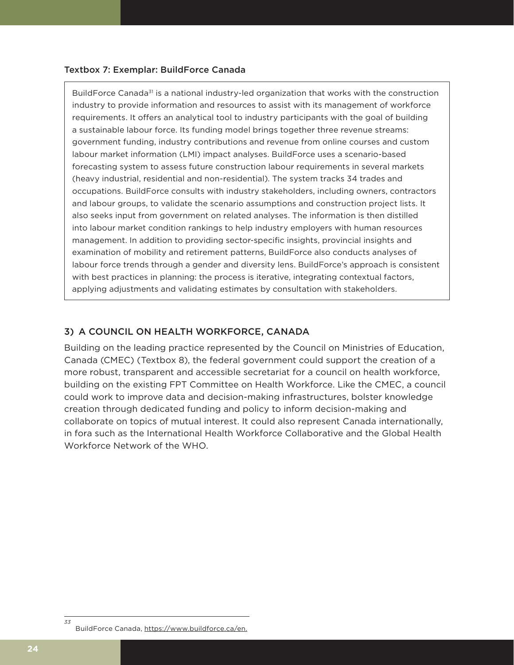#### Textbox 7: Exemplar: BuildForce Canada 33

BuildForce Canada<sup>31</sup> is a national industry-led organization that works with the construction industry to provide information and resources to assist with its management of workforce requirements. It offers an analytical tool to industry participants with the goal of building a sustainable labour force. Its funding model brings together three revenue streams: government funding, industry contributions and revenue from online courses and custom labour market information (LMI) impact analyses. BuildForce uses a scenario-based forecasting system to assess future construction labour requirements in several markets (heavy industrial, residential and non-residential). The system tracks 34 trades and occupations. BuildForce consults with industry stakeholders, including owners, contractors and labour groups, to validate the scenario assumptions and construction project lists. It also seeks input from government on related analyses. The information is then distilled into labour market condition rankings to help industry employers with human resources management. In addition to providing sector-specific insights, provincial insights and examination of mobility and retirement patterns, BuildForce also conducts analyses of labour force trends through a gender and diversity lens. BuildForce's approach is consistent with best practices in planning: the process is iterative, integrating contextual factors, applying adjustments and validating estimates by consultation with stakeholders.

#### 3) A COUNCIL ON HEALTH WORKFORCE, CANADA

Building on the leading practice represented by the Council on Ministries of Education, Canada (CMEC) (Textbox 8), the federal government could support the creation of a more robust, transparent and accessible secretariat for a council on health workforce, building on the existing FPT Committee on Health Workforce. Like the CMEC, a council could work to improve data and decision-making infrastructures, bolster knowledge creation through dedicated funding and policy to inform decision-making and collaborate on topics of mutual interest. It could also represent Canada internationally, in fora such as the International Health Workforce Collaborative and the Global Health Workforce Network of the WHO.

*<sup>33</sup>* BuildForce Canada, https://www.buildforce.ca/en.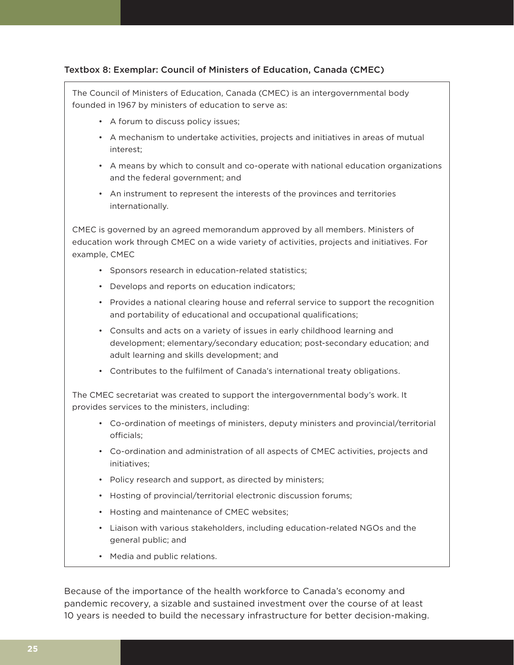#### Textbox 8: Exemplar: Council of Ministers of Education, Canada (CMEC)

The Council of Ministers of Education, Canada (CMEC) is an intergovernmental body founded in 1967 by ministers of education to serve as:

- A forum to discuss policy issues;
- A mechanism to undertake activities, projects and initiatives in areas of mutual interest;
- A means by which to consult and co-operate with national education organizations and the federal government; and
- An instrument to represent the interests of the provinces and territories internationally.

CMEC is governed by an agreed memorandum approved by all members. Ministers of education work through CMEC on a wide variety of activities, projects and initiatives. For example, CMEC

- Sponsors research in education-related statistics;
- Develops and reports on education indicators;
- Provides a national clearing house and referral service to support the recognition and portability of educational and occupational qualifications;
- Consults and acts on a variety of issues in early childhood learning and development; elementary/secondary education; post-secondary education; and adult learning and skills development; and
- Contributes to the fulfilment of Canada's international treaty obligations.

The CMEC secretariat was created to support the intergovernmental body's work. It provides services to the ministers, including:

- Co-ordination of meetings of ministers, deputy ministers and provincial/territorial officials;
- Co-ordination and administration of all aspects of CMEC activities, projects and initiatives;
- Policy research and support, as directed by ministers;
- Hosting of provincial/territorial electronic discussion forums;
- Hosting and maintenance of CMEC websites;
- Liaison with various stakeholders, including education-related NGOs and the general public; and
- Media and public relations.

Because of the importance of the health workforce to Canada's economy and pandemic recovery, a sizable and sustained investment over the course of at least 10 years is needed to build the necessary infrastructure for better decision-making.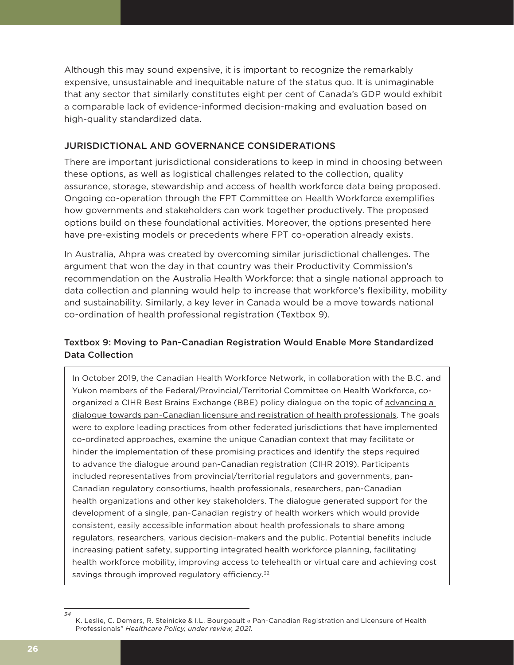Although this may sound expensive, it is important to recognize the remarkably expensive, unsustainable and inequitable nature of the status quo. It is unimaginable that any sector that similarly constitutes eight per cent of Canada's GDP would exhibit a comparable lack of evidence-informed decision-making and evaluation based on high-quality standardized data.

#### JURISDICTIONAL AND GOVERNANCE CONSIDERATIONS

There are important jurisdictional considerations to keep in mind in choosing between these options, as well as logistical challenges related to the collection, quality assurance, storage, stewardship and access of health workforce data being proposed. Ongoing co-operation through the FPT Committee on Health Workforce exemplifies how governments and stakeholders can work together productively. The proposed options build on these foundational activities. Moreover, the options presented here have pre-existing models or precedents where FPT co-operation already exists.

In Australia, Ahpra was created by overcoming similar jurisdictional challenges. The argument that won the day in that country was their Productivity Commission's recommendation on the Australia Health Workforce: that a single national approach to data collection and planning would help to increase that workforce's flexibility, mobility and sustainability. Similarly, a key lever in Canada would be a move towards national co-ordination of health professional registration (Textbox 9).

#### Textbox 9: Moving to Pan-Canadian Registration Would Enable More Standardized Data Collection

In October 2019, the Canadian Health Workforce Network, in collaboration with the B.C. and Yukon members of the Federal/Provincial/Territorial Committee on Health Workforce, coorganized a CIHR Best Brains Exchange (BBE) policy dialogue on the topic of advancing a dialogue towards pan-Canadian licensure and registration of health professionals. The goals were to explore leading practices from other federated jurisdictions that have implemented co-ordinated approaches, examine the unique Canadian context that may facilitate or hinder the implementation of these promising practices and identify the steps required to advance the dialogue around pan-Canadian registration (CIHR 2019). Participants included representatives from provincial/territorial regulators and governments, pan-Canadian regulatory consortiums, health professionals, researchers, pan-Canadian health organizations and other key stakeholders. The dialogue generated support for the development of a single, pan-Canadian registry of health workers which would provide consistent, easily accessible information about health professionals to share among regulators, researchers, various decision-makers and the public. Potential benefits include increasing patient safety, supporting integrated health workforce planning, facilitating health workforce mobility, improving access to telehealth or virtual care and achieving cost savings through improved regulatory efficiency.<sup>32</sup>

*<sup>34</sup>* K. Leslie, C. Demers, R. Steinicke & I.L. Bourgeault « Pan-Canadian Registration and Licensure of Health Professionals" *Healthcare Policy, under review, 2021.*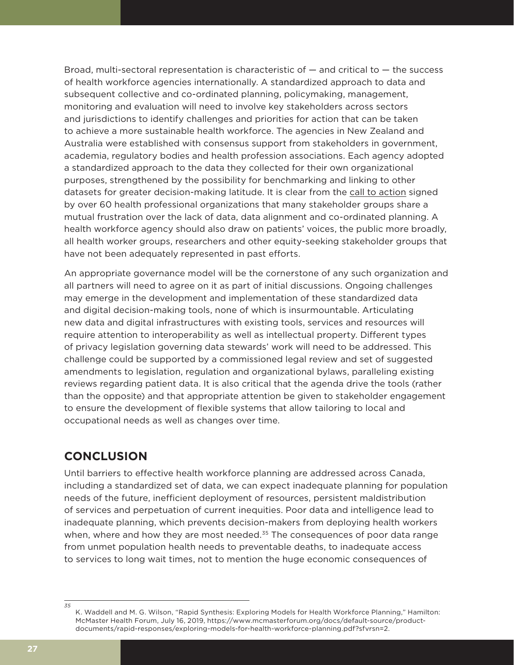Broad, multi-sectoral representation is characteristic of — and critical to — the success of health workforce agencies internationally. A standardized approach to data and subsequent collective and co-ordinated planning, policymaking, management, monitoring and evaluation will need to involve key stakeholders across sectors and jurisdictions to identify challenges and priorities for action that can be taken to achieve a more sustainable health workforce. The agencies in New Zealand and Australia were established with consensus support from stakeholders in government, academia, regulatory bodies and health profession associations. Each agency adopted a standardized approach to the data they collected for their own organizational purposes, strengthened by the possibility for benchmarking and linking to other datasets for greater decision-making latitude. It is clear from the call to action signed by over 60 health professional organizations that many stakeholder groups share a mutual frustration over the lack of data, data alignment and co-ordinated planning. A health workforce agency should also draw on patients' voices, the public more broadly, all health worker groups, researchers and other equity-seeking stakeholder groups that have not been adequately represented in past efforts.

An appropriate governance model will be the cornerstone of any such organization and all partners will need to agree on it as part of initial discussions. Ongoing challenges may emerge in the development and implementation of these standardized data and digital decision-making tools, none of which is insurmountable. Articulating new data and digital infrastructures with existing tools, services and resources will require attention to interoperability as well as intellectual property. Different types of privacy legislation governing data stewards' work will need to be addressed. This challenge could be supported by a commissioned legal review and set of suggested amendments to legislation, regulation and organizational bylaws, paralleling existing reviews regarding patient data. It is also critical that the agenda drive the tools (rather than the opposite) and that appropriate attention be given to stakeholder engagement to ensure the development of flexible systems that allow tailoring to local and occupational needs as well as changes over time.

## **CONCLUSION**

Until barriers to effective health workforce planning are addressed across Canada, including a standardized set of data, we can expect inadequate planning for population needs of the future, inefficient deployment of resources, persistent maldistribution of services and perpetuation of current inequities. Poor data and intelligence lead to inadequate planning, which prevents decision-makers from deploying health workers when, where and how they are most needed.<sup>35</sup> The consequences of poor data range from unmet population health needs to preventable deaths, to inadequate access to services to long wait times, not to mention the huge economic consequences of

*<sup>35</sup>* K. Waddell and M. G. Wilson, "Rapid Synthesis: Exploring Models for Health Workforce Planning," Hamilton: McMaster Health Forum, July 16, 2019, https://www.mcmasterforum.org/docs/default-source/productdocuments/rapid-responses/exploring-models-for-health-workforce-planning.pdf?sfvrsn=2.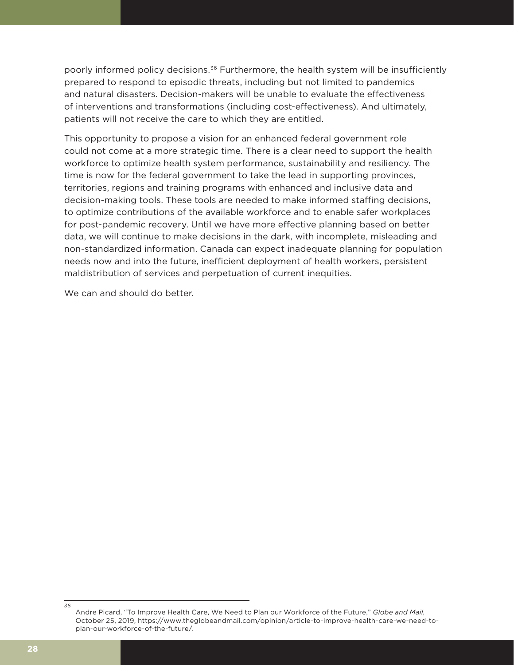poorly informed policy decisions.<sup>36</sup> Furthermore, the health system will be insufficiently prepared to respond to episodic threats, including but not limited to pandemics and natural disasters. Decision-makers will be unable to evaluate the effectiveness of interventions and transformations (including cost-effectiveness). And ultimately, patients will not receive the care to which they are entitled.

This opportunity to propose a vision for an enhanced federal government role could not come at a more strategic time. There is a clear need to support the health workforce to optimize health system performance, sustainability and resiliency. The time is now for the federal government to take the lead in supporting provinces, territories, regions and training programs with enhanced and inclusive data and decision-making tools. These tools are needed to make informed staffing decisions, to optimize contributions of the available workforce and to enable safer workplaces for post-pandemic recovery. Until we have more effective planning based on better data, we will continue to make decisions in the dark, with incomplete, misleading and non-standardized information. Canada can expect inadequate planning for population needs now and into the future, inefficient deployment of health workers, persistent maldistribution of services and perpetuation of current inequities.

We can and should do better.

*<sup>36</sup>* Andre Picard, "To Improve Health Care, We Need to Plan our Workforce of the Future," *Globe and Mail*, October 25, 2019, https://www.theglobeandmail.com/opinion/article-to-improve-health-care-we-need-toplan-our-workforce-of-the-future/.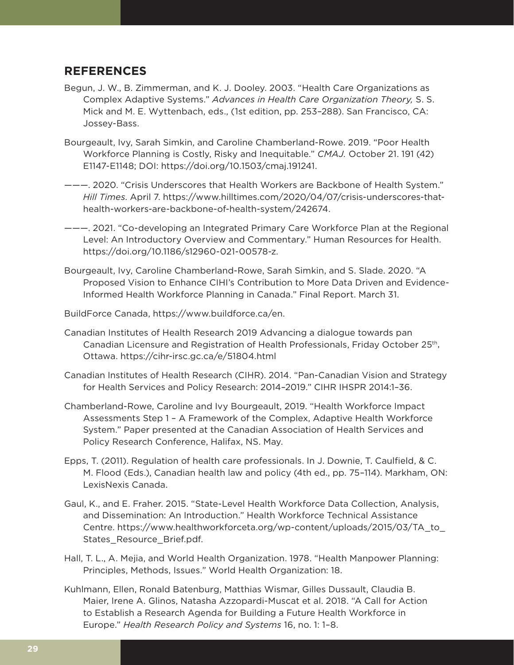### **REFERENCES**

- Begun, J. W., B. Zimmerman, and K. J. Dooley. 2003. "Health Care Organizations as Complex Adaptive Systems." *Advances in Health Care Organization Theory,* S. S. Mick and M. E. Wyttenbach, eds., (1st edition, pp. 253–288). San Francisco, CA: Jossey-Bass.
- Bourgeault, Ivy, Sarah Simkin, and Caroline Chamberland-Rowe. 2019. "Poor Health Workforce Planning is Costly, Risky and Inequitable." *CMAJ.* October 21. 191 (42) E1147-E1148; DOI: https://doi.org/10.1503/cmaj.191241.
- ———. 2020. "Crisis Underscores that Health Workers are Backbone of Health System." *Hill Times*. April 7. https://www.hilltimes.com/2020/04/07/crisis-underscores-thathealth-workers-are-backbone-of-health-system/242674.
- ———. 2021. "Co-developing an Integrated Primary Care Workforce Plan at the Regional Level: An Introductory Overview and Commentary." Human Resources for Health. https://doi.org/10.1186/s12960-021-00578-z.
- Bourgeault, Ivy, Caroline Chamberland-Rowe, Sarah Simkin, and S. Slade. 2020. "A Proposed Vision to Enhance CIHI's Contribution to More Data Driven and Evidence-Informed Health Workforce Planning in Canada." Final Report. March 31.
- BuildForce Canada, https://www.buildforce.ca/en.
- Canadian Institutes of Health Research 2019 Advancing a dialogue towards pan Canadian Licensure and Registration of Health Professionals, Friday October 25<sup>th</sup>, Ottawa. https://cihr-irsc.gc.ca/e/51804.html
- Canadian Institutes of Health Research (CIHR). 2014. "Pan-Canadian Vision and Strategy for Health Services and Policy Research: 2014–2019." CIHR IHSPR 2014:1–36.
- Chamberland-Rowe, Caroline and Ivy Bourgeault, 2019. "Health Workforce Impact Assessments Step 1 – A Framework of the Complex, Adaptive Health Workforce System." Paper presented at the Canadian Association of Health Services and Policy Research Conference, Halifax, NS. May.
- Epps, T. (2011). Regulation of health care professionals. In J. Downie, T. Caulfield, & C. M. Flood (Eds.), Canadian health law and policy (4th ed., pp. 75–114). Markham, ON: LexisNexis Canada.
- Gaul, K., and E. Fraher. 2015. "State-Level Health Workforce Data Collection, Analysis, and Dissemination: An Introduction." Health Workforce Technical Assistance Centre. https://www.healthworkforceta.org/wp-content/uploads/2015/03/TA\_to\_ States\_Resource\_Brief.pdf.
- Hall, T. L., A. Mejia, and World Health Organization. 1978. "Health Manpower Planning: Principles, Methods, Issues." World Health Organization: 18.
- Kuhlmann, Ellen, Ronald Batenburg, Matthias Wismar, Gilles Dussault, Claudia B. Maier, Irene A. Glinos, Natasha Azzopardi-Muscat et al. 2018. "A Call for Action to Establish a Research Agenda for Building a Future Health Workforce in Europe." *Health Research Policy and Systems* 16, no. 1: 1–8.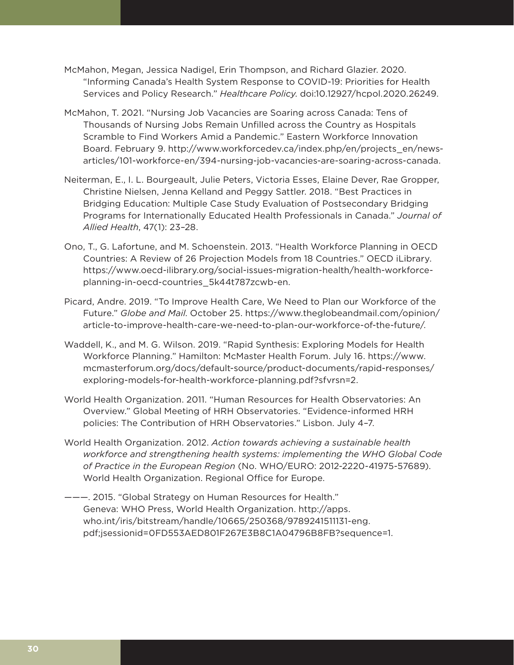- McMahon, Megan, Jessica Nadigel, Erin Thompson, and Richard Glazier. 2020. "Informing Canada's Health System Response to COVID-19: Priorities for Health Services and Policy Research." *Healthcare Policy*. doi:10.12927/hcpol.2020.26249.
- McMahon, T. 2021. "Nursing Job Vacancies are Soaring across Canada: Tens of Thousands of Nursing Jobs Remain Unfilled across the Country as Hospitals Scramble to Find Workers Amid a Pandemic." Eastern Workforce Innovation Board. February 9. http://www.workforcedev.ca/index.php/en/projects\_en/newsarticles/101-workforce-en/394-nursing-job-vacancies-are-soaring-across-canada.
- Neiterman, E., I. L. Bourgeault, Julie Peters, Victoria Esses, Elaine Dever, Rae Gropper, Christine Nielsen, Jenna Kelland and Peggy Sattler. 2018. "Best Practices in Bridging Education: Multiple Case Study Evaluation of Postsecondary Bridging Programs for Internationally Educated Health Professionals in Canada." *Journal of Allied Health*, 47(1): 23–28.
- Ono, T., G. Lafortune, and M. Schoenstein. 2013. "Health Workforce Planning in OECD Countries: A Review of 26 Projection Models from 18 Countries." OECD iLibrary. https://www.oecd-ilibrary.org/social-issues-migration-health/health-workforceplanning-in-oecd-countries\_5k44t787zcwb-en.
- Picard, Andre. 2019. "To Improve Health Care, We Need to Plan our Workforce of the Future." *Globe and Mail*. October 25. https://www.theglobeandmail.com/opinion/ article-to-improve-health-care-we-need-to-plan-our-workforce-of-the-future/.
- Waddell, K., and M. G. Wilson. 2019. "Rapid Synthesis: Exploring Models for Health Workforce Planning." Hamilton: McMaster Health Forum. July 16. https://www. mcmasterforum.org/docs/default-source/product-documents/rapid-responses/ exploring-models-for-health-workforce-planning.pdf?sfvrsn=2.
- World Health Organization. 2011. "Human Resources for Health Observatories: An Overview." Global Meeting of HRH Observatories. "Evidence-informed HRH policies: The Contribution of HRH Observatories." Lisbon. July 4–7.
- World Health Organization. 2012. *Action towards achieving a sustainable health workforce and strengthening health systems: implementing the WHO Global Code of Practice in the European Region* (No. WHO/EURO: 2012-2220-41975-57689). World Health Organization. Regional Office for Europe.
- ———. 2015. "Global Strategy on Human Resources for Health." Geneva: WHO Press, World Health Organization. http://apps. who.int/iris/bitstream/handle/10665/250368/9789241511131-eng. pdf;jsessionid=0FD553AED801F267E3B8C1A04796B8FB?sequence=1.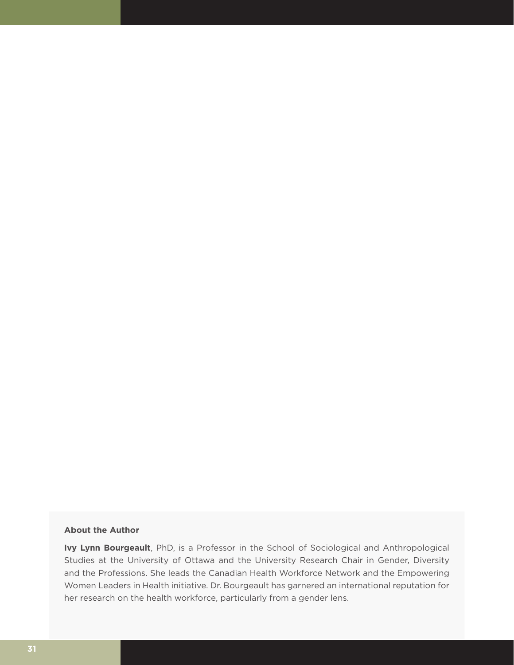#### **About the Author**

**Ivy Lynn Bourgeault**, PhD, is a Professor in the School of Sociological and Anthropological Studies at the University of Ottawa and the University Research Chair in Gender, Diversity and the Professions. She leads the Canadian Health Workforce Network and the Empowering Women Leaders in Health initiative. Dr. Bourgeault has garnered an international reputation for her research on the health workforce, particularly from a gender lens.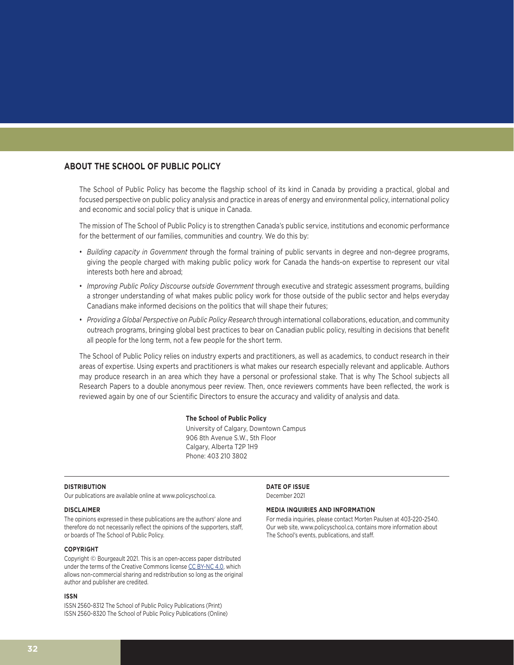#### **ABOUT THE SCHOOL OF PUBLIC POLICY**

The School of Public Policy has become the flagship school of its kind in Canada by providing a practical, global and focused perspective on public policy analysis and practice in areas of energy and environmental policy, international policy and economic and social policy that is unique in Canada.

The mission of The School of Public Policy is to strengthen Canada's public service, institutions and economic performance for the betterment of our families, communities and country. We do this by:

- *Building capacity in Government* through the formal training of public servants in degree and non-degree programs, giving the people charged with making public policy work for Canada the hands-on expertise to represent our vital interests both here and abroad;
- *Improving Public Policy Discourse outside Government* through executive and strategic assessment programs, building a stronger understanding of what makes public policy work for those outside of the public sector and helps everyday Canadians make informed decisions on the politics that will shape their futures;
- *Providing a Global Perspective on Public Policy Research* through international collaborations, education, and community outreach programs, bringing global best practices to bear on Canadian public policy, resulting in decisions that benefit all people for the long term, not a few people for the short term.

The School of Public Policy relies on industry experts and practitioners, as well as academics, to conduct research in their areas of expertise. Using experts and practitioners is what makes our research especially relevant and applicable. Authors may produce research in an area which they have a personal or professional stake. That is why The School subjects all Research Papers to a double anonymous peer review. Then, once reviewers comments have been reflected, the work is reviewed again by one of our Scientific Directors to ensure the accuracy and validity of analysis and data.

#### **The School of Public Policy**

University of Calgary, Downtown Campus 906 8th Avenue S.W., 5th Floor Calgary, Alberta T2P 1H9 Phone: 403 210 3802

#### **DISTRIBUTION**

Our publications are available online at www.policyschool.ca.

#### **DISCLAIMER**

The opinions expressed in these publications are the authors' alone and therefore do not necessarily reflect the opinions of the supporters, staff, or boards of The School of Public Policy.

#### **COPYRIGHT**

Copyright © Bourgeault 2021. This is an open-access paper distributed under the terms of the Creative Commons license CC BY-NC 4.0, which allows non-commercial sharing and redistribution so long as the original author and publisher are credited.

#### **ISSN**

ISSN 2560-8312 The School of Public Policy Publications (Print) ISSN 2560-8320 The School of Public Policy Publications (Online) **DATE OF ISSUE** December 2021

#### **MEDIA INQUIRIES AND INFORMATION**

For media inquiries, please contact Morten Paulsen at 403-220-2540. Our web site, www.policyschool.ca, contains more information about The School's events, publications, and staff.